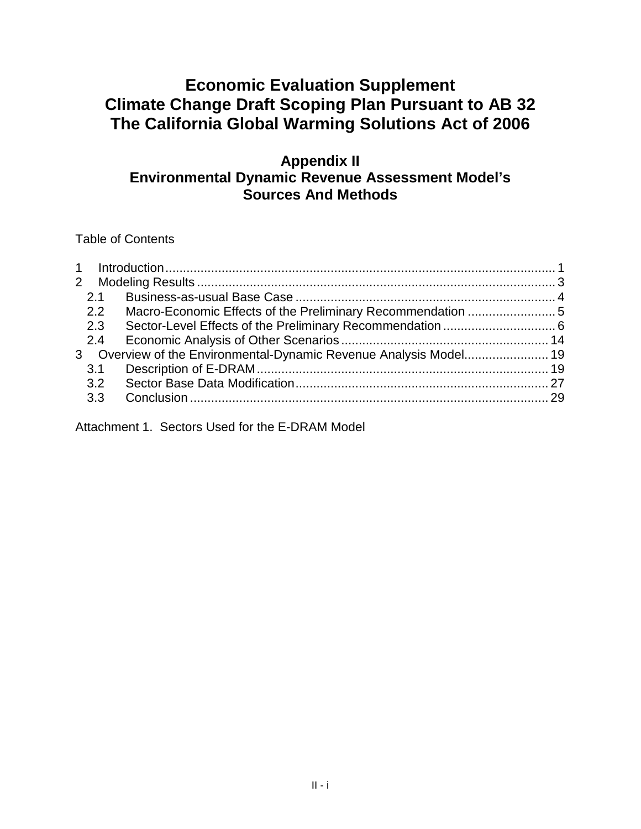# **Climate Change Draft Scoping Plan Pursuant to AB 32 The California Global Warming Solutions Act of 2006 Economic Evaluation Supplement**

## **Appendix II Environmental Dynamic Revenue Assessment Model's Sources And Methods**

Table of Contents

| 2.1 |                                                                   |  |
|-----|-------------------------------------------------------------------|--|
| 2.2 |                                                                   |  |
| 2.3 |                                                                   |  |
| 2.4 |                                                                   |  |
|     | 3 Overview of the Environmental-Dynamic Revenue Analysis Model 19 |  |
| 3.1 |                                                                   |  |
| 3.2 |                                                                   |  |
| 3.3 |                                                                   |  |

Attachment 1. Sectors Used for the E-DRAM Model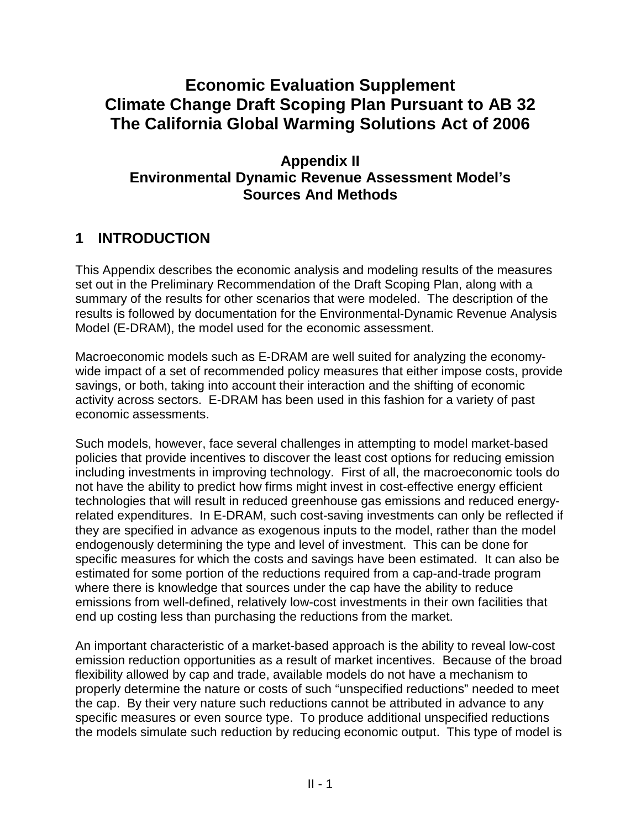# **Climate Change Draft Scoping Plan Pursuant to AB 32 The California Global Warming Solutions Act of 2006 Economic Evaluation Supplement**

## **Appendix II Environmental Dynamic Revenue Assessment Model's Sources And Methods**

# **1 INTRODUCTION**

 This Appendix describes the economic analysis and modeling results of the measures set out in the Preliminary Recommendation of the Draft Scoping Plan, along with a summary of the results for other scenarios that were modeled. The description of the results is followed by documentation for the Environmental-Dynamic Revenue Analysis Model (E-DRAM), the model used for the economic assessment.

 Macroeconomic models such as E-DRAM are well suited for analyzing the economy- wide impact of a set of recommended policy measures that either impose costs, provide savings, or both, taking into account their interaction and the shifting of economic activity across sectors. E-DRAM has been used in this fashion for a variety of past economic assessments.

 Such models, however, face several challenges in attempting to model market-based policies that provide incentives to discover the least cost options for reducing emission including investments in improving technology. First of all, the macroeconomic tools do not have the ability to predict how firms might invest in cost-effective energy efficient technologies that will result in reduced greenhouse gas emissions and reduced energy- related expenditures. In E-DRAM, such cost-saving investments can only be reflected if they are specified in advance as exogenous inputs to the model, rather than the model endogenously determining the type and level of investment. This can be done for specific measures for which the costs and savings have been estimated. It can also be estimated for some portion of the reductions required from a cap-and-trade program where there is knowledge that sources under the cap have the ability to reduce emissions from well-defined, relatively low-cost investments in their own facilities that end up costing less than purchasing the reductions from the market.

 An important characteristic of a market-based approach is the ability to reveal low-cost emission reduction opportunities as a result of market incentives. Because of the broad flexibility allowed by cap and trade, available models do not have a mechanism to properly determine the nature or costs of such "unspecified reductions" needed to meet the cap. By their very nature such reductions cannot be attributed in advance to any specific measures or even source type. To produce additional unspecified reductions the models simulate such reduction by reducing economic output. This type of model is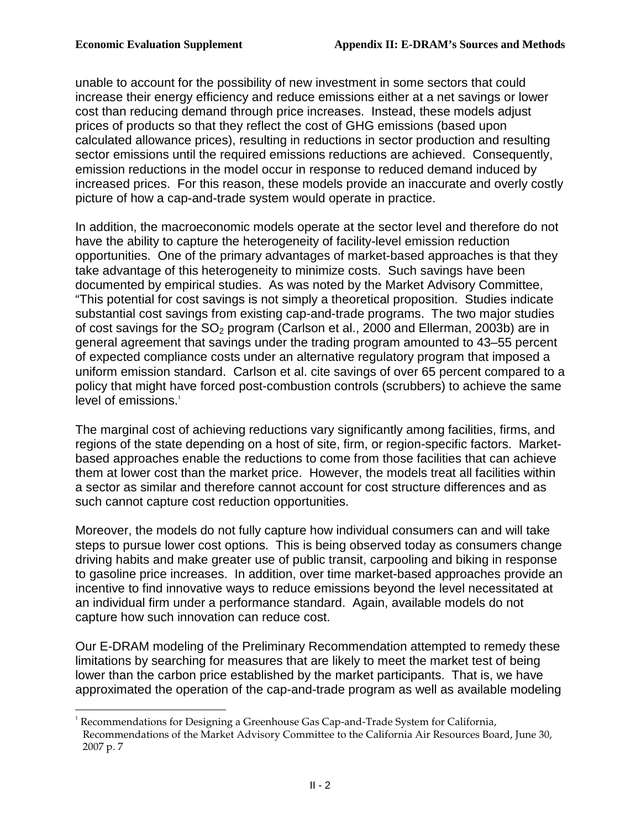$\overline{a}$ 

 unable to account for the possibility of new investment in some sectors that could increase their energy efficiency and reduce emissions either at a net savings or lower cost than reducing demand through price increases. Instead, these models adjust prices of products so that they reflect the cost of GHG emissions (based upon calculated allowance prices), resulting in reductions in sector production and resulting sector emissions until the required emissions reductions are achieved. Consequently, emission reductions in the model occur in response to reduced demand induced by increased prices. For this reason, these models provide an inaccurate and overly costly picture of how a cap-and-trade system would operate in practice.

 In addition, the macroeconomic models operate at the sector level and therefore do not have the ability to capture the heterogeneity of facility-level emission reduction opportunities. One of the primary advantages of market-based approaches is that they take advantage of this heterogeneity to minimize costs. Such savings have been documented by empirical studies. As was noted by the Market Advisory Committee, "This potential for cost savings is not simply a theoretical proposition. Studies indicate substantial cost savings from existing cap-and-trade programs. The two major studies of cost savings for the  $SO_2$  program (Carlson et al., 2000 and Ellerman, 2003b) are in general agreement that savings under the trading program amounted to 43–55 percent of expected compliance costs under an alternative regulatory program that imposed a uniform emission standard. Carlson et al. cite savings of over 65 percent compared to a policy that might have forced post-combustion controls (scrubbers) to achieve the same level of emissions.<sup>1</sup>

 The marginal cost of achieving reductions vary significantly among facilities, firms, and regions of the state depending on a host of site, firm, or region-specific factors. Market- based approaches enable the reductions to come from those facilities that can achieve them at lower cost than the market price. However, the models treat all facilities within a sector as similar and therefore cannot account for cost structure differences and as such cannot capture cost reduction opportunities.

 Moreover, the models do not fully capture how individual consumers can and will take steps to pursue lower cost options. This is being observed today as consumers change driving habits and make greater use of public transit, carpooling and biking in response to gasoline price increases. In addition, over time market-based approaches provide an incentive to find innovative ways to reduce emissions beyond the level necessitated at an individual firm under a performance standard. Again, available models do not capture how such innovation can reduce cost.

 Our E-DRAM modeling of the Preliminary Recommendation attempted to remedy these limitations by searching for measures that are likely to meet the market test of being lower than the carbon price established by the market participants. That is, we have approximated the operation of the cap-and-trade program as well as available modeling

 Recommendations of the Market Advisory Committee to the California Air Resources Board, June 30, 2007 p. 7 Recommendations for Designing a Greenhouse Gas Cap-and-Trade System for California,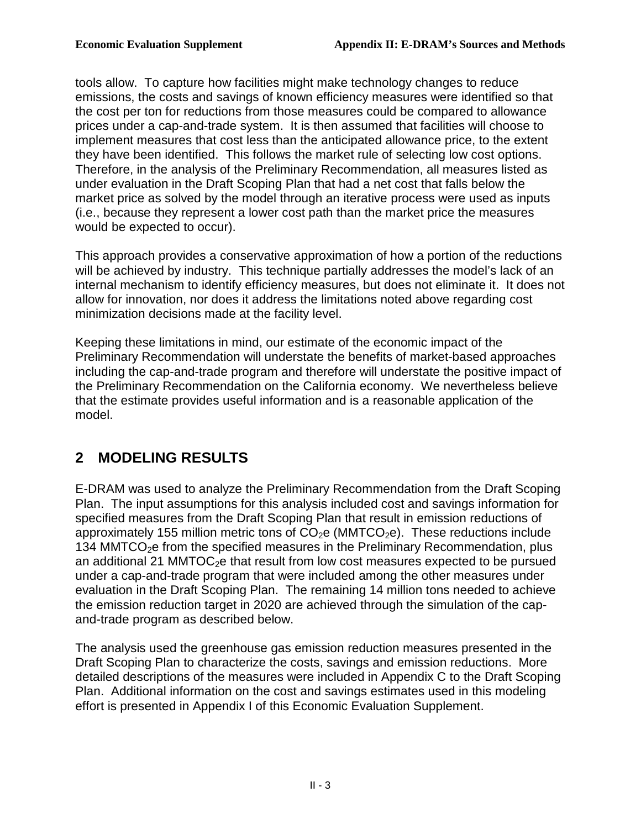tools allow. To capture how facilities might make technology changes to reduce emissions, the costs and savings of known efficiency measures were identified so that the cost per ton for reductions from those measures could be compared to allowance prices under a cap-and-trade system. It is then assumed that facilities will choose to implement measures that cost less than the anticipated allowance price, to the extent they have been identified. This follows the market rule of selecting low cost options. Therefore, in the analysis of the Preliminary Recommendation, all measures listed as under evaluation in the Draft Scoping Plan that had a net cost that falls below the market price as solved by the model through an iterative process were used as inputs (i.e., because they represent a lower cost path than the market price the measures would be expected to occur).

 This approach provides a conservative approximation of how a portion of the reductions will be achieved by industry. This technique partially addresses the model's lack of an internal mechanism to identify efficiency measures, but does not eliminate it. It does not allow for innovation, nor does it address the limitations noted above regarding cost minimization decisions made at the facility level.

 Keeping these limitations in mind, our estimate of the economic impact of the Preliminary Recommendation will understate the benefits of market-based approaches including the cap-and-trade program and therefore will understate the positive impact of the Preliminary Recommendation on the California economy. We nevertheless believe that the estimate provides useful information and is a reasonable application of the model.

## **2 MODELING RESULTS**

 E-DRAM was used to analyze the Preliminary Recommendation from the Draft Scoping Plan. The input assumptions for this analysis included cost and savings information for specified measures from the Draft Scoping Plan that result in emission reductions of approximately 155 million metric tons of  $CO<sub>2</sub>e$  (MMTCO<sub>2</sub>e). These reductions include 134 MMTCO<sub>2</sub>e from the specified measures in the Preliminary Recommendation, plus an additional 21 MMTOC<sub>2</sub>e that result from low cost measures expected to be pursued under a cap-and-trade program that were included among the other measures under evaluation in the Draft Scoping Plan. The remaining 14 million tons needed to achieve the emission reduction target in 2020 are achieved through the simulation of the cap-and-trade program as described below.

 The analysis used the greenhouse gas emission reduction measures presented in the Draft Scoping Plan to characterize the costs, savings and emission reductions. More detailed descriptions of the measures were included in Appendix C to the Draft Scoping Plan. Additional information on the cost and savings estimates used in this modeling effort is presented in Appendix I of this Economic Evaluation Supplement.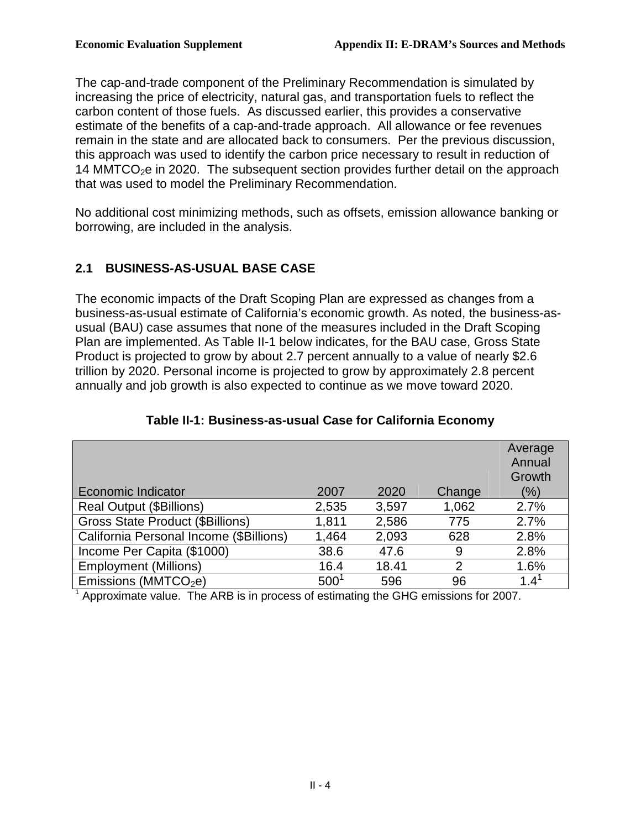The cap-and-trade component of the Preliminary Recommendation is simulated by increasing the price of electricity, natural gas, and transportation fuels to reflect the carbon content of those fuels. As discussed earlier, this provides a conservative estimate of the benefits of a cap-and-trade approach. All allowance or fee revenues remain in the state and are allocated back to consumers. Per the previous discussion, this approach was used to identify the carbon price necessary to result in reduction of 14 MMTCO<sub>2</sub>e in 2020. The subsequent section provides further detail on the approach that was used to model the Preliminary Recommendation.

 No additional cost minimizing methods, such as offsets, emission allowance banking or borrowing, are included in the analysis.

## **2.1 BUSINESS-AS-USUAL BASE CASE**

 The economic impacts of the Draft Scoping Plan are expressed as changes from a business-as-usual estimate of California's economic growth. As noted, the business-as- usual (BAU) case assumes that none of the measures included in the Draft Scoping Plan are implemented. As Table II-1 below indicates, for the BAU case, Gross State Product is projected to grow by about 2.7 percent annually to a value of nearly \$2.6 trillion by 2020. Personal income is projected to grow by approximately 2.8 percent annually and job growth is also expected to continue as we move toward 2020.

|                                         |               |       |                | Average<br>Annual<br>Growth |
|-----------------------------------------|---------------|-------|----------------|-----------------------------|
| Economic Indicator                      | 2007          | 2020  | Change         | $(\% )$                     |
| Real Output (\$Billions)                | 2,535         | 3,597 | 1,062          | 2.7%                        |
| <b>Gross State Product (\$Billions)</b> | 1,811         | 2,586 | 775            | 2.7%                        |
| California Personal Income (\$Billions) | 1,464         | 2,093 | 628            | 2.8%                        |
| Income Per Capita (\$1000)              | 38.6          | 47.6  | 9              | 2.8%                        |
| <b>Employment (Millions)</b>            | 16.4          | 18.41 | $\overline{2}$ | 1.6%                        |
| Emissions ( $MMTCO2e$ )                 | $500^{\circ}$ | 596   | 96             | $1.4^{\circ}$               |

## **Table II-1: Business-as-usual Case for California Economy**

 $<sup>1</sup>$  Approximate value. The ARB is in process of estimating the GHG emissions for 2007.</sup>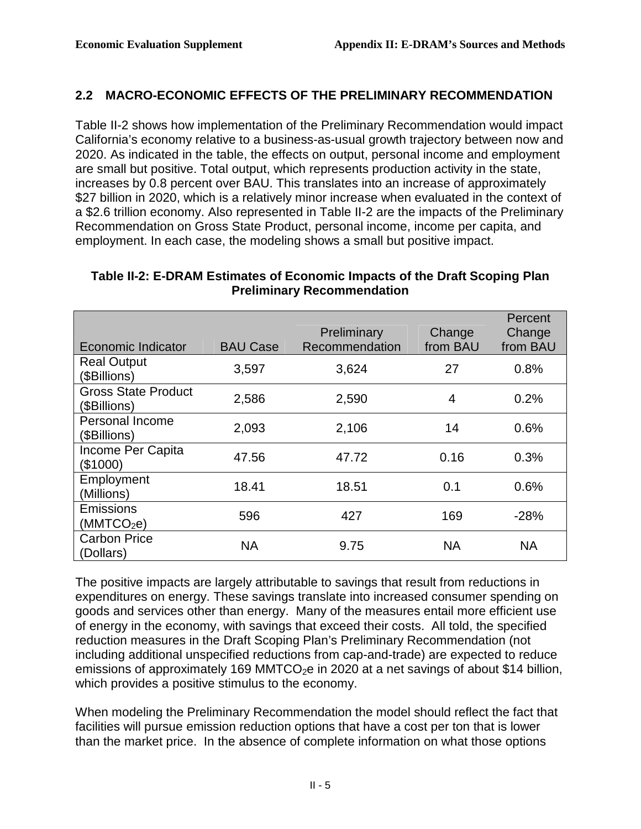## **2.2 MACRO-ECONOMIC EFFECTS OF THE PRELIMINARY RECOMMENDATION**

 Table II-2 shows how implementation of the Preliminary Recommendation would impact California's economy relative to a business-as-usual growth trajectory between now and 2020. As indicated in the table, the effects on output, personal income and employment are small but positive. Total output, which represents production activity in the state, increases by 0.8 percent over BAU. This translates into an increase of approximately \$27 billion in 2020, which is a relatively minor increase when evaluated in the context of a \$2.6 trillion economy. Also represented in Table II-2 are the impacts of the Preliminary Recommendation on Gross State Product, personal income, income per capita, and employment. In each case, the modeling shows a small but positive impact.

#### **Table II-2: E-DRAM Estimates of Economic Impacts of the Draft Scoping Plan Preliminary Recommendation**

|                                            |                 | Preliminary    | Change    | Percent<br>Change |
|--------------------------------------------|-----------------|----------------|-----------|-------------------|
| Economic Indicator                         | <b>BAU Case</b> | Recommendation | from BAU  | from BAU          |
| <b>Real Output</b><br>(\$Billions)         | 3,597           | 3,624          | 27        | 0.8%              |
| <b>Gross State Product</b><br>(\$Billions) | 2,586           | 2,590          | 4         | 0.2%              |
| <b>Personal Income</b><br>(\$Billions)     | 2,093           | 2,106          | 14        | 0.6%              |
| Income Per Capita<br>(\$1000)              | 47.56           | 47.72          | 0.16      | 0.3%              |
| Employment<br>(Millions)                   | 18.41           | 18.51          | 0.1       | 0.6%              |
| <b>Emissions</b><br>(MMTCO <sub>2</sub> e) | 596             | 427            | 169       | $-28%$            |
| <b>Carbon Price</b><br>(Dollars)           | <b>NA</b>       | 9.75           | <b>NA</b> | <b>NA</b>         |

 The positive impacts are largely attributable to savings that result from reductions in expenditures on energy. These savings translate into increased consumer spending on goods and services other than energy. Many of the measures entail more efficient use of energy in the economy, with savings that exceed their costs. All told, the specified reduction measures in the Draft Scoping Plan's Preliminary Recommendation (not including additional unspecified reductions from cap-and-trade) are expected to reduce emissions of approximately 169 MMTCO<sub>2</sub>e in 2020 at a net savings of about \$14 billion, which provides a positive stimulus to the economy.

 When modeling the Preliminary Recommendation the model should reflect the fact that facilities will pursue emission reduction options that have a cost per ton that is lower than the market price. In the absence of complete information on what those options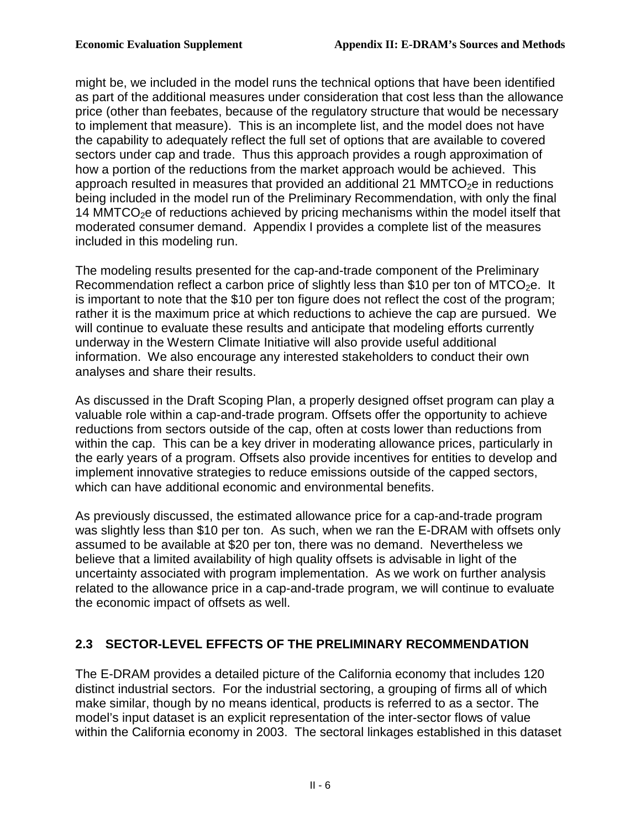might be, we included in the model runs the technical options that have been identified as part of the additional measures under consideration that cost less than the allowance price (other than feebates, because of the regulatory structure that would be necessary to implement that measure). This is an incomplete list, and the model does not have the capability to adequately reflect the full set of options that are available to covered sectors under cap and trade. Thus this approach provides a rough approximation of how a portion of the reductions from the market approach would be achieved. This approach resulted in measures that provided an additional 21 MMTCO<sub>2</sub>e in reductions being included in the model run of the Preliminary Recommendation, with only the final 14 MMTCO $<sub>2</sub>e$  of reductions achieved by pricing mechanisms within the model itself that</sub> moderated consumer demand. Appendix I provides a complete list of the measures included in this modeling run.

 The modeling results presented for the cap-and-trade component of the Preliminary Recommendation reflect a carbon price of slightly less than \$10 per ton of MTCO<sub>2</sub>e. It is important to note that the \$10 per ton figure does not reflect the cost of the program; rather it is the maximum price at which reductions to achieve the cap are pursued. We will continue to evaluate these results and anticipate that modeling efforts currently underway in the Western Climate Initiative will also provide useful additional information. We also encourage any interested stakeholders to conduct their own analyses and share their results.

 As discussed in the Draft Scoping Plan, a properly designed offset program can play a valuable role within a cap-and-trade program. Offsets offer the opportunity to achieve reductions from sectors outside of the cap, often at costs lower than reductions from within the cap. This can be a key driver in moderating allowance prices, particularly in the early years of a program. Offsets also provide incentives for entities to develop and implement innovative strategies to reduce emissions outside of the capped sectors, which can have additional economic and environmental benefits.

 As previously discussed, the estimated allowance price for a cap-and-trade program was slightly less than \$10 per ton. As such, when we ran the E-DRAM with offsets only assumed to be available at \$20 per ton, there was no demand. Nevertheless we believe that a limited availability of high quality offsets is advisable in light of the uncertainty associated with program implementation. As we work on further analysis related to the allowance price in a cap-and-trade program, we will continue to evaluate the economic impact of offsets as well.

## **2.3 SECTOR-LEVEL EFFECTS OF THE PRELIMINARY RECOMMENDATION**

 The E-DRAM provides a detailed picture of the California economy that includes 120 distinct industrial sectors. For the industrial sectoring, a grouping of firms all of which make similar, though by no means identical, products is referred to as a sector. The model's input dataset is an explicit representation of the inter-sector flows of value within the California economy in 2003. The sectoral linkages established in this dataset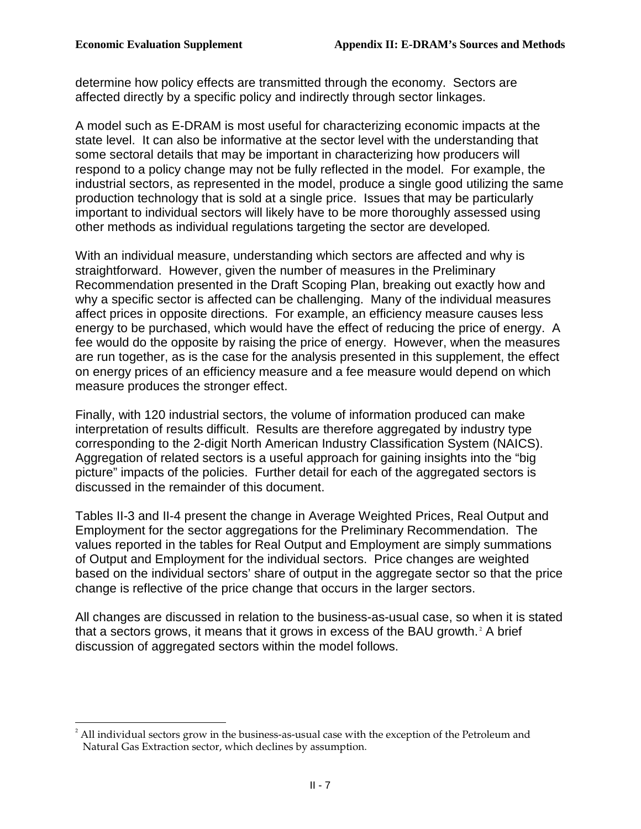<u>.</u>

 determine how policy effects are transmitted through the economy. Sectors are affected directly by a specific policy and indirectly through sector linkages.

 A model such as E-DRAM is most useful for characterizing economic impacts at the state level. It can also be informative at the sector level with the understanding that some sectoral details that may be important in characterizing how producers will respond to a policy change may not be fully reflected in the model. For example, the industrial sectors, as represented in the model, produce a single good utilizing the same production technology that is sold at a single price. Issues that may be particularly important to individual sectors will likely have to be more thoroughly assessed using other methods as individual regulations targeting the sector are developed.

 With an individual measure, understanding which sectors are affected and why is straightforward. However, given the number of measures in the Preliminary Recommendation presented in the Draft Scoping Plan, breaking out exactly how and why a specific sector is affected can be challenging. Many of the individual measures affect prices in opposite directions. For example, an efficiency measure causes less energy to be purchased, which would have the effect of reducing the price of energy. A fee would do the opposite by raising the price of energy. However, when the measures are run together, as is the case for the analysis presented in this supplement, the effect on energy prices of an efficiency measure and a fee measure would depend on which measure produces the stronger effect.

 Finally, with 120 industrial sectors, the volume of information produced can make interpretation of results difficult. Results are therefore aggregated by industry type corresponding to the 2-digit North American Industry Classification System (NAICS). Aggregation of related sectors is a useful approach for gaining insights into the "big picture" impacts of the policies. Further detail for each of the aggregated sectors is discussed in the remainder of this document.

 Tables II-3 and II-4 present the change in Average Weighted Prices, Real Output and Employment for the sector aggregations for the Preliminary Recommendation. The values reported in the tables for Real Output and Employment are simply summations of Output and Employment for the individual sectors. Price changes are weighted based on the individual sectors' share of output in the aggregate sector so that the price change is reflective of the price change that occurs in the larger sectors.

 All changes are discussed in relation to the business-as-usual case, so when it is stated that a sectors grows, it means that it grows in excess of the BAU growth. $2$  A brief discussion of aggregated sectors within the model follows.

 $^2$  All individual sectors grow in the business-as-usual case with the exception of the Petroleum and Natural Gas Extraction sector, which declines by assumption.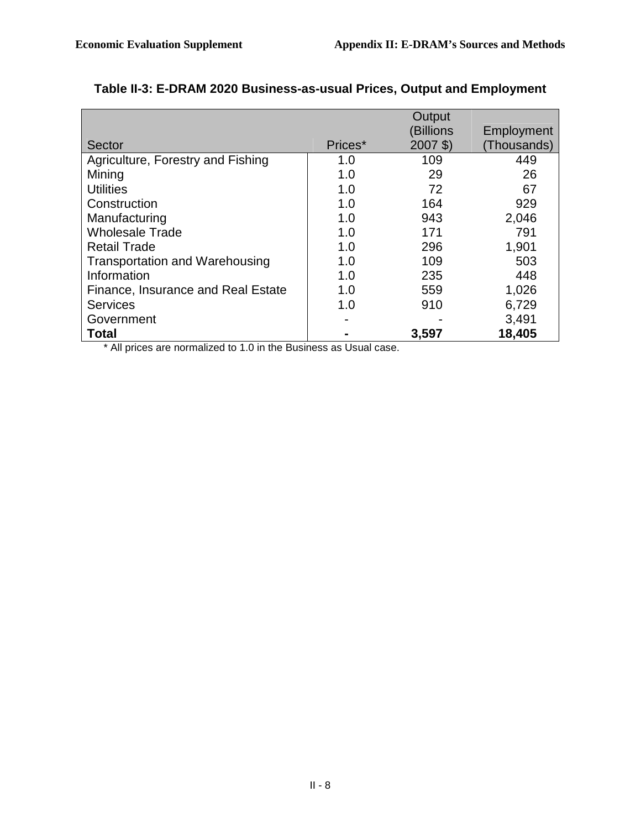|                                       |         | Output          |             |
|---------------------------------------|---------|-----------------|-------------|
|                                       |         | <b>Billions</b> | Employment  |
| Sector                                | Prices* | $2007$ \$)      | (Thousands) |
| Agriculture, Forestry and Fishing     | 1.0     | 109             | 449         |
| Mining                                | 1.0     | 29              | 26          |
| <b>Utilities</b>                      | 1.0     | 72              | 67          |
| Construction                          | 1.0     | 164             | 929         |
| Manufacturing                         | 1.0     | 943             | 2,046       |
| <b>Wholesale Trade</b>                | 1.0     | 171             | 791         |
| <b>Retail Trade</b>                   | 1.0     | 296             | 1,901       |
| <b>Transportation and Warehousing</b> | 1.0     | 109             | 503         |
| Information                           | 1.0     | 235             | 448         |
| Finance, Insurance and Real Estate    | 1.0     | 559             | 1,026       |
| <b>Services</b>                       | 1.0     | 910             | 6,729       |
| Government                            |         |                 | 3,491       |
| Total                                 |         | 3,597           | 18,405      |

#### **Table II-3: E-DRAM 2020 Business-as-usual Prices, Output and Employment**

\* All prices are normalized to 1.0 in the Business as Usual case.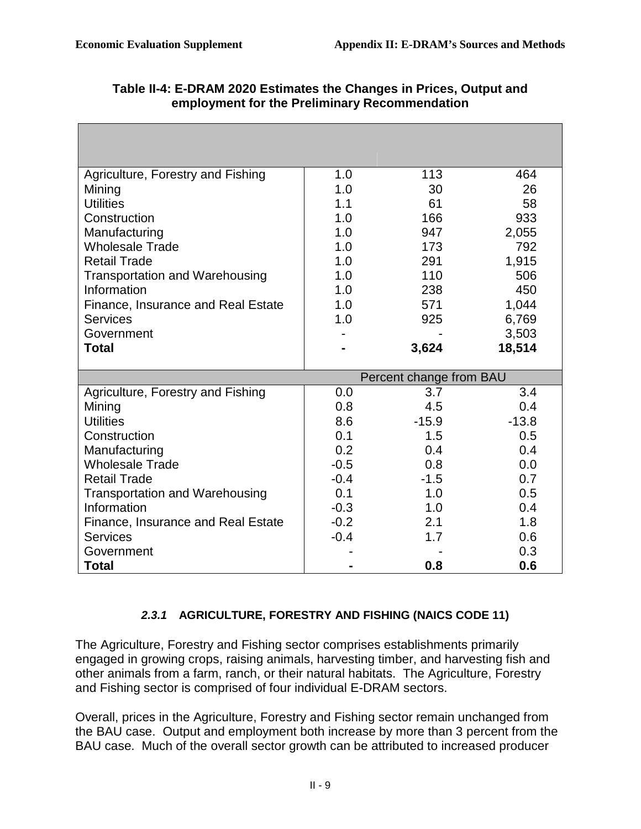| Agriculture, Forestry and Fishing     | 1.0    | 113                     | 464        |
|---------------------------------------|--------|-------------------------|------------|
| Mining                                | 1.0    | 30                      | 26         |
| <b>Utilities</b>                      | 1.1    | 61                      | 58         |
| Construction                          | 1.0    | 166                     | 933        |
| Manufacturing                         | 1.0    | 947                     | 2,055      |
| <b>Wholesale Trade</b>                | 1.0    | 173                     | 792        |
| <b>Retail Trade</b>                   | 1.0    | 291                     | 1,915      |
| <b>Transportation and Warehousing</b> | 1.0    | 110                     | 506        |
| Information                           | 1.0    | 238                     | 450        |
| Finance, Insurance and Real Estate    | 1.0    | 571                     | 1,044      |
| <b>Services</b>                       | 1.0    | 925                     | 6,769      |
| Government                            |        |                         | 3,503      |
| <b>Total</b>                          |        | 3,624                   | 18,514     |
|                                       |        |                         |            |
|                                       |        |                         |            |
|                                       |        | Percent change from BAU |            |
| Agriculture, Forestry and Fishing     | 0.0    | 3.7                     | 3.4        |
| Mining                                | 0.8    | 4.5                     | 0.4        |
| <b>Utilities</b>                      | 8.6    | $-15.9$                 | $-13.8$    |
| Construction                          | 0.1    | 1.5                     | 0.5        |
| Manufacturing                         | 0.2    | 0.4                     | 0.4        |
| <b>Wholesale Trade</b>                | $-0.5$ | 0.8                     | 0.0        |
| <b>Retail Trade</b>                   | $-0.4$ | $-1.5$                  | 0.7        |
| <b>Transportation and Warehousing</b> | 0.1    | 1.0                     | 0.5        |
| Information                           | $-0.3$ | 1.0                     | 0.4        |
| Finance, Insurance and Real Estate    | $-0.2$ | 2.1                     | 1.8        |
| <b>Services</b>                       | $-0.4$ | 1.7                     | 0.6        |
| Government<br><b>Total</b>            |        | 0.8                     | 0.3<br>0.6 |

## **Table II-4: E-DRAM 2020 Estimates the Changes in Prices, Output and employment for the Preliminary Recommendation**

## **2.3.1 AGRICULTURE, FORESTRY AND FISHING (NAICS CODE 11)**

 The Agriculture, Forestry and Fishing sector comprises establishments primarily engaged in growing crops, raising animals, harvesting timber, and harvesting fish and other animals from a farm, ranch, or their natural habitats. The Agriculture, Forestry and Fishing sector is comprised of four individual E-DRAM sectors.

 Overall, prices in the Agriculture, Forestry and Fishing sector remain unchanged from the BAU case. Output and employment both increase by more than 3 percent from the BAU case. Much of the overall sector growth can be attributed to increased producer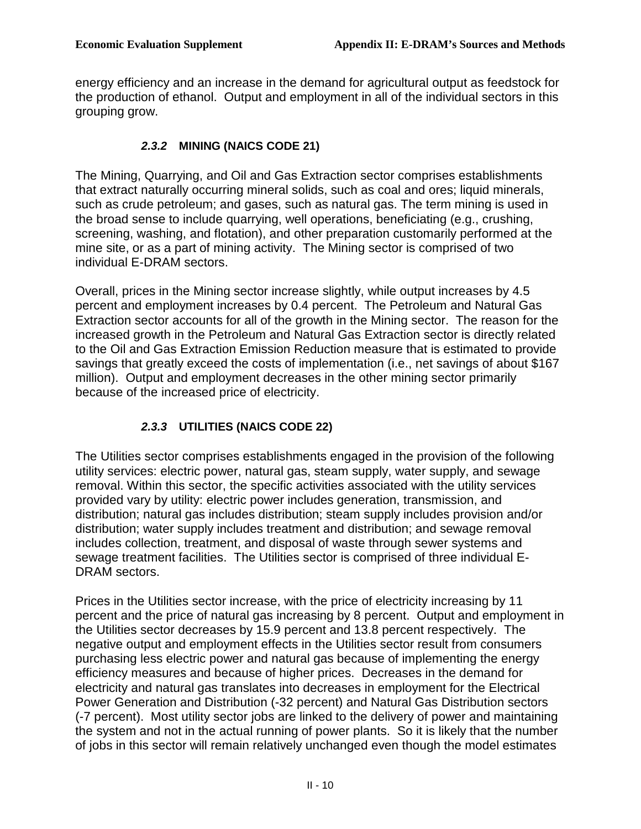energy efficiency and an increase in the demand for agricultural output as feedstock for the production of ethanol. Output and employment in all of the individual sectors in this grouping grow.

### **2.3.2 MINING (NAICS CODE 21)**

 The Mining, Quarrying, and Oil and Gas Extraction sector comprises establishments that extract naturally occurring mineral solids, such as coal and ores; liquid minerals, such as crude petroleum; and gases, such as natural gas. The term mining is used in the broad sense to include quarrying, well operations, beneficiating (e.g., crushing, screening, washing, and flotation), and other preparation customarily performed at the mine site, or as a part of mining activity. The Mining sector is comprised of two individual E-DRAM sectors.

 Overall, prices in the Mining sector increase slightly, while output increases by 4.5 percent and employment increases by 0.4 percent. The Petroleum and Natural Gas Extraction sector accounts for all of the growth in the Mining sector. The reason for the increased growth in the Petroleum and Natural Gas Extraction sector is directly related to the Oil and Gas Extraction Emission Reduction measure that is estimated to provide savings that greatly exceed the costs of implementation (i.e., net savings of about \$167 million). Output and employment decreases in the other mining sector primarily because of the increased price of electricity.

## **2.3.3 UTILITIES (NAICS CODE 22)**

 The Utilities sector comprises establishments engaged in the provision of the following utility services: electric power, natural gas, steam supply, water supply, and sewage removal. Within this sector, the specific activities associated with the utility services provided vary by utility: electric power includes generation, transmission, and distribution; natural gas includes distribution; steam supply includes provision and/or distribution; water supply includes treatment and distribution; and sewage removal includes collection, treatment, and disposal of waste through sewer systems and sewage treatment facilities. The Utilities sector is comprised of three individual E-DRAM sectors.

 Prices in the Utilities sector increase, with the price of electricity increasing by 11 percent and the price of natural gas increasing by 8 percent. Output and employment in the Utilities sector decreases by 15.9 percent and 13.8 percent respectively. The negative output and employment effects in the Utilities sector result from consumers purchasing less electric power and natural gas because of implementing the energy efficiency measures and because of higher prices. Decreases in the demand for electricity and natural gas translates into decreases in employment for the Electrical Power Generation and Distribution (-32 percent) and Natural Gas Distribution sectors (-7 percent). Most utility sector jobs are linked to the delivery of power and maintaining the system and not in the actual running of power plants. So it is likely that the number of jobs in this sector will remain relatively unchanged even though the model estimates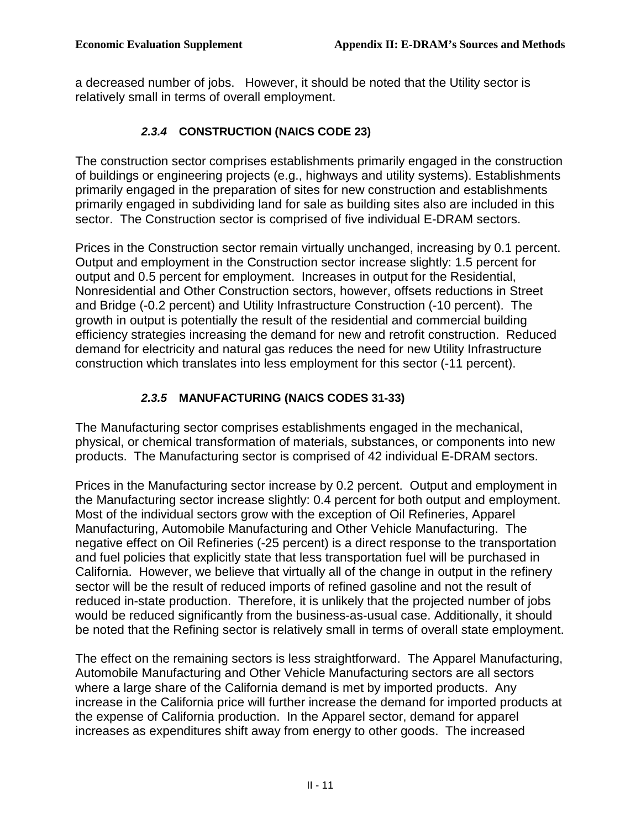a decreased number of jobs. However, it should be noted that the Utility sector is relatively small in terms of overall employment.

### **2.3.4 CONSTRUCTION (NAICS CODE 23)**

 The construction sector comprises establishments primarily engaged in the construction of buildings or engineering projects (e.g., highways and utility systems). Establishments primarily engaged in the preparation of sites for new construction and establishments primarily engaged in subdividing land for sale as building sites also are included in this sector. The Construction sector is comprised of five individual E-DRAM sectors.

 Prices in the Construction sector remain virtually unchanged, increasing by 0.1 percent. Output and employment in the Construction sector increase slightly: 1.5 percent for output and 0.5 percent for employment. Increases in output for the Residential, Nonresidential and Other Construction sectors, however, offsets reductions in Street and Bridge (-0.2 percent) and Utility Infrastructure Construction (-10 percent). The growth in output is potentially the result of the residential and commercial building efficiency strategies increasing the demand for new and retrofit construction. Reduced demand for electricity and natural gas reduces the need for new Utility Infrastructure construction which translates into less employment for this sector (-11 percent).

### **2.3.5 MANUFACTURING (NAICS CODES 31-33)**

 The Manufacturing sector comprises establishments engaged in the mechanical, physical, or chemical transformation of materials, substances, or components into new products. The Manufacturing sector is comprised of 42 individual E-DRAM sectors.

 Prices in the Manufacturing sector increase by 0.2 percent. Output and employment in the Manufacturing sector increase slightly: 0.4 percent for both output and employment. Most of the individual sectors grow with the exception of Oil Refineries, Apparel Manufacturing, Automobile Manufacturing and Other Vehicle Manufacturing. The negative effect on Oil Refineries (-25 percent) is a direct response to the transportation and fuel policies that explicitly state that less transportation fuel will be purchased in California. However, we believe that virtually all of the change in output in the refinery sector will be the result of reduced imports of refined gasoline and not the result of reduced in-state production. Therefore, it is unlikely that the projected number of jobs would be reduced significantly from the business-as-usual case. Additionally, it should be noted that the Refining sector is relatively small in terms of overall state employment.

 The effect on the remaining sectors is less straightforward. The Apparel Manufacturing, Automobile Manufacturing and Other Vehicle Manufacturing sectors are all sectors where a large share of the California demand is met by imported products. Any increase in the California price will further increase the demand for imported products at the expense of California production. In the Apparel sector, demand for apparel increases as expenditures shift away from energy to other goods. The increased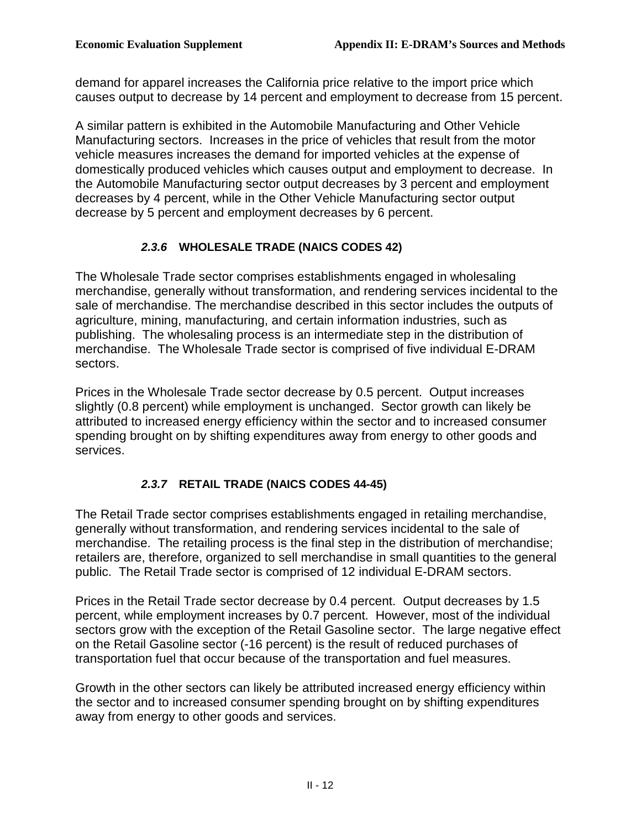demand for apparel increases the California price relative to the import price which causes output to decrease by 14 percent and employment to decrease from 15 percent.

 A similar pattern is exhibited in the Automobile Manufacturing and Other Vehicle Manufacturing sectors. Increases in the price of vehicles that result from the motor vehicle measures increases the demand for imported vehicles at the expense of domestically produced vehicles which causes output and employment to decrease. In the Automobile Manufacturing sector output decreases by 3 percent and employment decreases by 4 percent, while in the Other Vehicle Manufacturing sector output decrease by 5 percent and employment decreases by 6 percent.

## **2.3.6 WHOLESALE TRADE (NAICS CODES 42)**

 The Wholesale Trade sector comprises establishments engaged in wholesaling merchandise, generally without transformation, and rendering services incidental to the sale of merchandise. The merchandise described in this sector includes the outputs of agriculture, mining, manufacturing, and certain information industries, such as publishing. The wholesaling process is an intermediate step in the distribution of merchandise. The Wholesale Trade sector is comprised of five individual E-DRAM sectors.

 Prices in the Wholesale Trade sector decrease by 0.5 percent. Output increases slightly (0.8 percent) while employment is unchanged. Sector growth can likely be attributed to increased energy efficiency within the sector and to increased consumer spending brought on by shifting expenditures away from energy to other goods and services.

## **2.3.7 RETAIL TRADE (NAICS CODES 44-45)**

 The Retail Trade sector comprises establishments engaged in retailing merchandise, generally without transformation, and rendering services incidental to the sale of merchandise. The retailing process is the final step in the distribution of merchandise; retailers are, therefore, organized to sell merchandise in small quantities to the general public. The Retail Trade sector is comprised of 12 individual E-DRAM sectors.

 Prices in the Retail Trade sector decrease by 0.4 percent. Output decreases by 1.5 percent, while employment increases by 0.7 percent. However, most of the individual sectors grow with the exception of the Retail Gasoline sector. The large negative effect on the Retail Gasoline sector (-16 percent) is the result of reduced purchases of transportation fuel that occur because of the transportation and fuel measures.

 Growth in the other sectors can likely be attributed increased energy efficiency within the sector and to increased consumer spending brought on by shifting expenditures away from energy to other goods and services.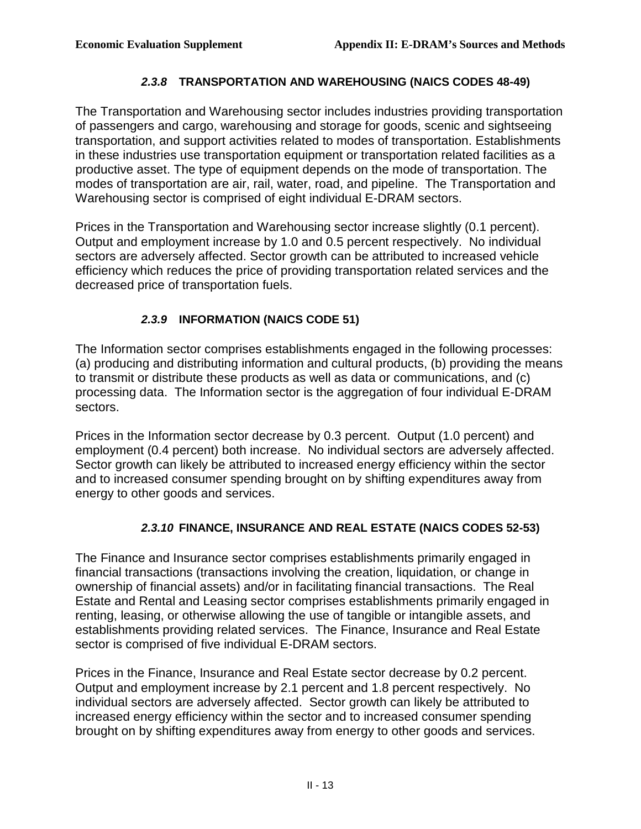#### **2.3.8 TRANSPORTATION AND WAREHOUSING (NAICS CODES 48-49)**

 The Transportation and Warehousing sector includes industries providing transportation of passengers and cargo, warehousing and storage for goods, scenic and sightseeing transportation, and support activities related to modes of transportation. Establishments in these industries use transportation equipment or transportation related facilities as a productive asset. The type of equipment depends on the mode of transportation. The modes of transportation are air, rail, water, road, and pipeline. The Transportation and Warehousing sector is comprised of eight individual E-DRAM sectors.

 Prices in the Transportation and Warehousing sector increase slightly (0.1 percent). Output and employment increase by 1.0 and 0.5 percent respectively. No individual sectors are adversely affected. Sector growth can be attributed to increased vehicle efficiency which reduces the price of providing transportation related services and the decreased price of transportation fuels.

## **2.3.9 INFORMATION (NAICS CODE 51)**

 The Information sector comprises establishments engaged in the following processes: (a) producing and distributing information and cultural products, (b) providing the means to transmit or distribute these products as well as data or communications, and (c) processing data. The Information sector is the aggregation of four individual E-DRAM sectors.

 Prices in the Information sector decrease by 0.3 percent. Output (1.0 percent) and employment (0.4 percent) both increase. No individual sectors are adversely affected. Sector growth can likely be attributed to increased energy efficiency within the sector and to increased consumer spending brought on by shifting expenditures away from energy to other goods and services.

#### **2.3.10 FINANCE, INSURANCE AND REAL ESTATE (NAICS CODES 52-53)**

 The Finance and Insurance sector comprises establishments primarily engaged in financial transactions (transactions involving the creation, liquidation, or change in ownership of financial assets) and/or in facilitating financial transactions. The Real Estate and Rental and Leasing sector comprises establishments primarily engaged in renting, leasing, or otherwise allowing the use of tangible or intangible assets, and establishments providing related services. The Finance, Insurance and Real Estate sector is comprised of five individual E-DRAM sectors.

 Prices in the Finance, Insurance and Real Estate sector decrease by 0.2 percent. Output and employment increase by 2.1 percent and 1.8 percent respectively. No individual sectors are adversely affected. Sector growth can likely be attributed to increased energy efficiency within the sector and to increased consumer spending brought on by shifting expenditures away from energy to other goods and services.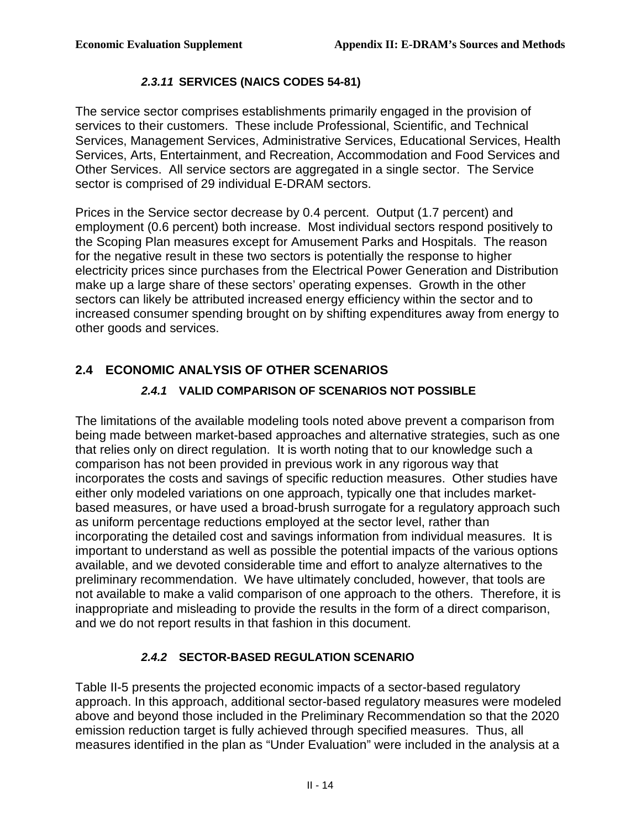#### **2.3.11 SERVICES (NAICS CODES 54-81)**

 The service sector comprises establishments primarily engaged in the provision of services to their customers. These include Professional, Scientific, and Technical Services, Management Services, Administrative Services, Educational Services, Health Services, Arts, Entertainment, and Recreation, Accommodation and Food Services and Other Services. All service sectors are aggregated in a single sector. The Service sector is comprised of 29 individual E-DRAM sectors.

 Prices in the Service sector decrease by 0.4 percent. Output (1.7 percent) and employment (0.6 percent) both increase. Most individual sectors respond positively to the Scoping Plan measures except for Amusement Parks and Hospitals. The reason for the negative result in these two sectors is potentially the response to higher electricity prices since purchases from the Electrical Power Generation and Distribution make up a large share of these sectors' operating expenses. Growth in the other sectors can likely be attributed increased energy efficiency within the sector and to increased consumer spending brought on by shifting expenditures away from energy to other goods and services.

## **2.4 ECONOMIC ANALYSIS OF OTHER SCENARIOS**

## **2.4.1 VALID COMPARISON OF SCENARIOS NOT POSSIBLE**

 The limitations of the available modeling tools noted above prevent a comparison from being made between market-based approaches and alternative strategies, such as one that relies only on direct regulation. It is worth noting that to our knowledge such a comparison has not been provided in previous work in any rigorous way that incorporates the costs and savings of specific reduction measures. Other studies have either only modeled variations on one approach, typically one that includes market- based measures, or have used a broad-brush surrogate for a regulatory approach such as uniform percentage reductions employed at the sector level, rather than incorporating the detailed cost and savings information from individual measures. It is important to understand as well as possible the potential impacts of the various options available, and we devoted considerable time and effort to analyze alternatives to the preliminary recommendation. We have ultimately concluded, however, that tools are not available to make a valid comparison of one approach to the others. Therefore, it is inappropriate and misleading to provide the results in the form of a direct comparison, and we do not report results in that fashion in this document.

#### **2.4.2 SECTOR-BASED REGULATION SCENARIO**

 Table II-5 presents the projected economic impacts of a sector-based regulatory approach. In this approach, additional sector-based regulatory measures were modeled  above and beyond those included in the Preliminary Recommendation so that the 2020 emission reduction target is fully achieved through specified measures. Thus, all measures identified in the plan as "Under Evaluation" were included in the analysis at a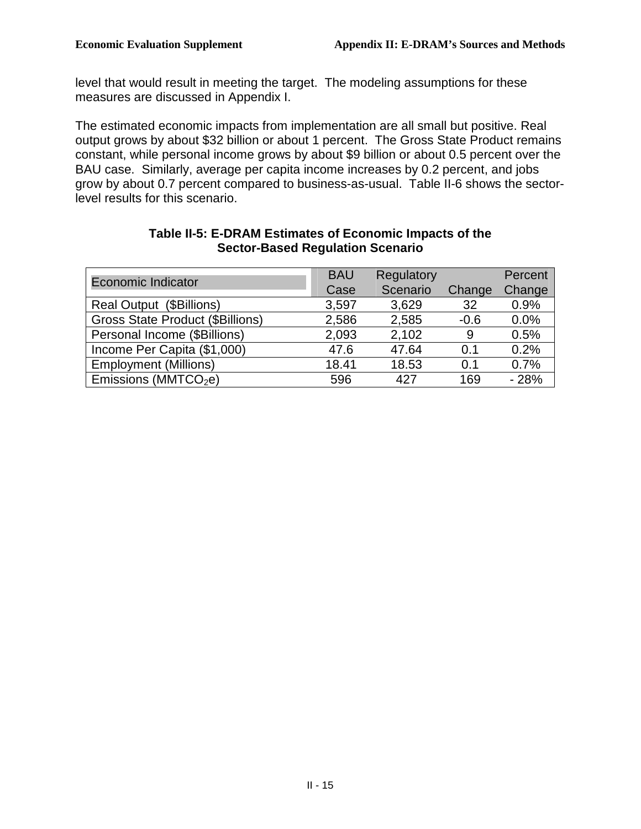level that would result in meeting the target. The modeling assumptions for these measures are discussed in Appendix I.

 The estimated economic impacts from implementation are all small but positive. Real output grows by about \$32 billion or about 1 percent. The Gross State Product remains constant, while personal income grows by about \$9 billion or about 0.5 percent over the BAU case. Similarly, average per capita income increases by 0.2 percent, and jobs grow by about 0.7 percent compared to business-as-usual. Table II-6 shows the sector-level results for this scenario.

| <b>Economic Indicator</b>               | <b>BAU</b><br>Case | Regulatory<br>Scenario | Change | Percent<br>Change |
|-----------------------------------------|--------------------|------------------------|--------|-------------------|
| Real Output (\$Billions)                | 3,597              | 3,629                  | 32     | 0.9%              |
| <b>Gross State Product (\$Billions)</b> | 2,586              | 2,585                  | $-0.6$ | 0.0%              |
| Personal Income (\$Billions)            | 2,093              | 2,102                  | 9      | 0.5%              |
| Income Per Capita (\$1,000)             | 47.6               | 47.64                  | 0.1    | 0.2%              |
| <b>Employment (Millions)</b>            | 18.41              | 18.53                  | 0.1    | 0.7%              |
| Emissions (MMTCO <sub>2</sub> e)        | 596                | 427                    | 169    | $-28%$            |

#### **Table II-5: E-DRAM Estimates of Economic Impacts of the Sector-Based Regulation Scenario**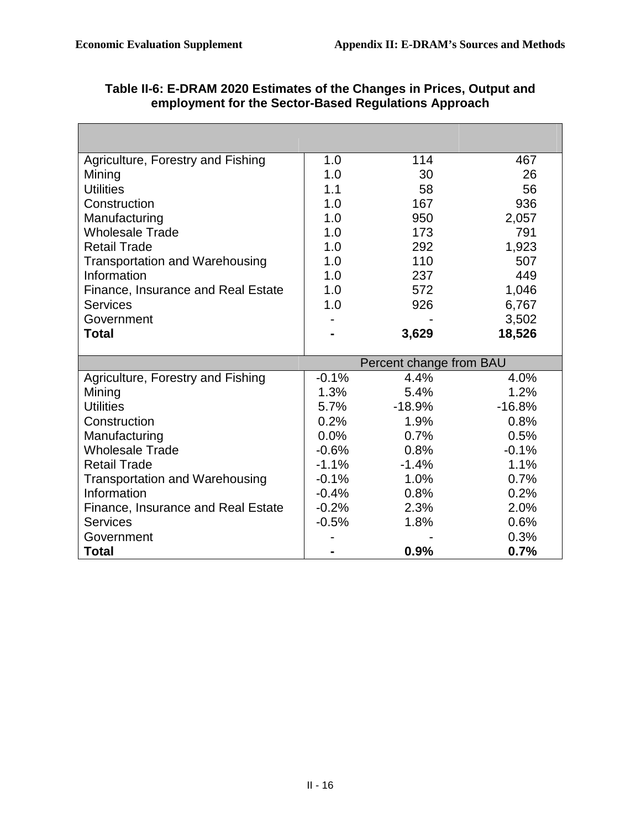٦

 $\mathcal{L}^{\text{max}}$ 

| Agriculture, Forestry and Fishing     | 1.0     | 114                     | 467          |
|---------------------------------------|---------|-------------------------|--------------|
| Mining                                | 1.0     | 30                      | 26           |
| <b>Utilities</b>                      | 1.1     | 58                      | 56           |
| Construction                          | 1.0     | 167                     | 936          |
| Manufacturing                         | 1.0     | 950                     | 2,057        |
| <b>Wholesale Trade</b>                | 1.0     | 173                     | 791          |
| <b>Retail Trade</b>                   | 1.0     | 292                     | 1,923        |
| <b>Transportation and Warehousing</b> | 1.0     | 110                     | 507          |
| Information                           | 1.0     | 237                     | 449          |
| Finance, Insurance and Real Estate    | 1.0     | 572                     | 1,046        |
| <b>Services</b>                       | 1.0     | 926                     | 6,767        |
| Government                            |         |                         | 3,502        |
| <b>Total</b>                          |         | 3,629                   | 18,526       |
|                                       |         |                         |              |
|                                       |         |                         |              |
|                                       |         | Percent change from BAU |              |
| Agriculture, Forestry and Fishing     | $-0.1%$ | 4.4%                    | 4.0%         |
| Mining                                | 1.3%    | 5.4%                    | 1.2%         |
| <b>Utilities</b>                      | $5.7\%$ | $-18.9%$                | $-16.8%$     |
| Construction                          | 0.2%    | 1.9%                    | 0.8%         |
| Manufacturing                         | 0.0%    | 0.7%                    | 0.5%         |
| <b>Wholesale Trade</b>                | $-0.6%$ | 0.8%                    | $-0.1%$      |
| <b>Retail Trade</b>                   | $-1.1%$ | $-1.4%$                 | 1.1%         |
| <b>Transportation and Warehousing</b> | $-0.1%$ | 1.0%                    | 0.7%         |
| Information                           | $-0.4%$ | 0.8%                    | 0.2%         |
| Finance, Insurance and Real Estate    | $-0.2%$ | 2.3%                    | 2.0%         |
| <b>Services</b>                       | $-0.5%$ | 1.8%                    | 0.6%         |
| Government<br><b>Total</b>            |         | 0.9%                    | 0.3%<br>0.7% |

| Table II-6: E-DRAM 2020 Estimates of the Changes in Prices, Output and |
|------------------------------------------------------------------------|
| employment for the Sector-Based Regulations Approach                   |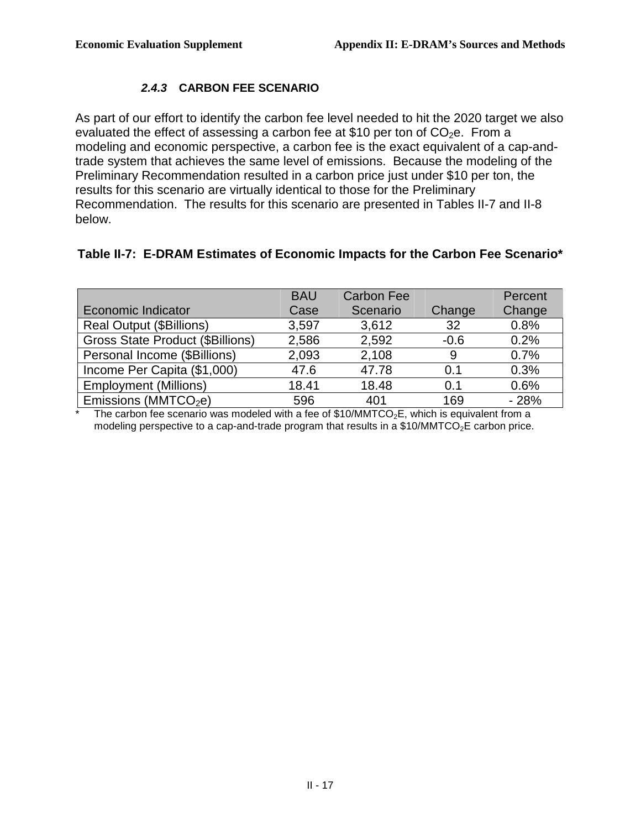### **2.4.3 CARBON FEE SCENARIO**

 As part of our effort to identify the carbon fee level needed to hit the 2020 target we also evaluated the effect of assessing a carbon fee at \$10 per ton of  $CO<sub>2</sub>e$ . From a modeling and economic perspective, a carbon fee is the exact equivalent of a cap-and- trade system that achieves the same level of emissions. Because the modeling of the Preliminary Recommendation resulted in a carbon price just under \$10 per ton, the results for this scenario are virtually identical to those for the Preliminary Recommendation. The results for this scenario are presented in Tables II-7 and II-8 below.

#### **Table II-7: E-DRAM Estimates of Economic Impacts for the Carbon Fee Scenario\***

| <b>BAU</b> | <b>Carbon Fee</b> |                                                                                           | Percent |
|------------|-------------------|-------------------------------------------------------------------------------------------|---------|
| Case       | Scenario          | Change                                                                                    | Change  |
| 3,597      | 3,612             | 32                                                                                        | 0.8%    |
| 2,586      | 2,592             | $-0.6$                                                                                    | 0.2%    |
| 2,093      | 2,108             | 9                                                                                         | 0.7%    |
| 47.6       | 47.78             | 0.1                                                                                       | 0.3%    |
| 18.41      | 18.48             | 0.1                                                                                       | 0.6%    |
| 596        | 401               | 169                                                                                       | $-28%$  |
|            |                   | The carbon fee scenario was modeled with a fee of $$10/MMTC$ E which is equivalent from a |         |

modeling perspective to a cap-and-trade program that results in a \$10/MMTCO<sub>2</sub>E carbon price. The carbon fee scenario was modeled with a fee of  $$10/MMTCO<sub>2</sub>E$ , which is equivalent from a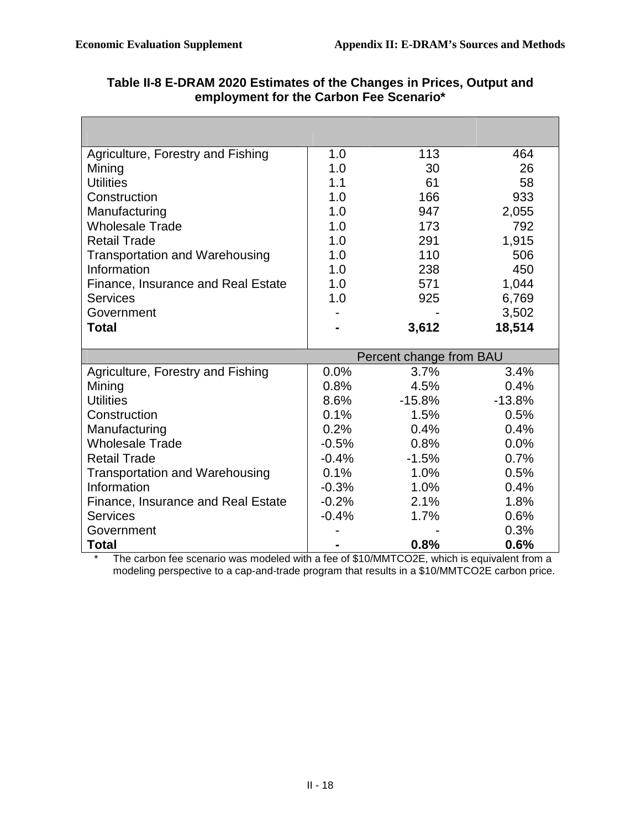| Agriculture, Forestry and Fishing         | 1.0     | 113                     | 464          |
|-------------------------------------------|---------|-------------------------|--------------|
| Mining                                    | 1.0     | 30                      | 26           |
| <b>Utilities</b>                          | 1.1     | 61                      | 58           |
| Construction                              | 1.0     | 166                     | 933          |
| Manufacturing                             | 1.0     | 947                     | 2,055        |
| <b>Wholesale Trade</b>                    | 1.0     | 173                     | 792          |
| <b>Retail Trade</b>                       | 1.0     | 291                     | 1,915        |
| <b>Transportation and Warehousing</b>     | 1.0     | 110                     | 506          |
| Information                               | 1.0     | 238                     | 450          |
| Finance, Insurance and Real Estate        | 1.0     | 571                     | 1,044        |
| <b>Services</b>                           | 1.0     | 925                     | 6,769        |
| Government                                |         |                         | 3,502        |
| <b>Total</b>                              |         | 3,612                   | 18,514       |
|                                           |         |                         |              |
|                                           |         |                         |              |
|                                           |         | Percent change from BAU |              |
| Agriculture, Forestry and Fishing         | 0.0%    | 3.7%                    | 3.4%         |
| Mining                                    | 0.8%    | 4.5%                    | 0.4%         |
| <b>Utilities</b>                          | 8.6%    | $-15.8%$                | $-13.8%$     |
| Construction                              | 0.1%    | 1.5%                    | 0.5%         |
| Manufacturing                             | 0.2%    | 0.4%                    | 0.4%         |
| <b>Wholesale Trade</b>                    | $-0.5%$ | 0.8%                    | 0.0%         |
| <b>Retail Trade</b>                       | $-0.4%$ | $-1.5%$                 | 0.7%         |
| <b>Transportation and Warehousing</b>     | 0.1%    | 1.0%                    | 0.5%         |
| Information                               | $-0.3%$ | 1.0%                    | 0.4%         |
| <b>Finance, Insurance and Real Estate</b> | $-0.2%$ | 2.1%                    | 1.8%         |
| <b>Services</b>                           | $-0.4%$ | 1.7%                    | 0.6%         |
| Government<br><b>Total</b>                |         | 0.8%                    | 0.3%<br>0.6% |

### **Table II-8 E-DRAM 2020 Estimates of the Changes in Prices, Output and employment for the Carbon Fee Scenario\***

 modeling perspective to a cap-and-trade program that results in a \$10/MMTCO2E carbon price. The carbon fee scenario was modeled with a fee of \$10/MMTCO2E, which is equivalent from a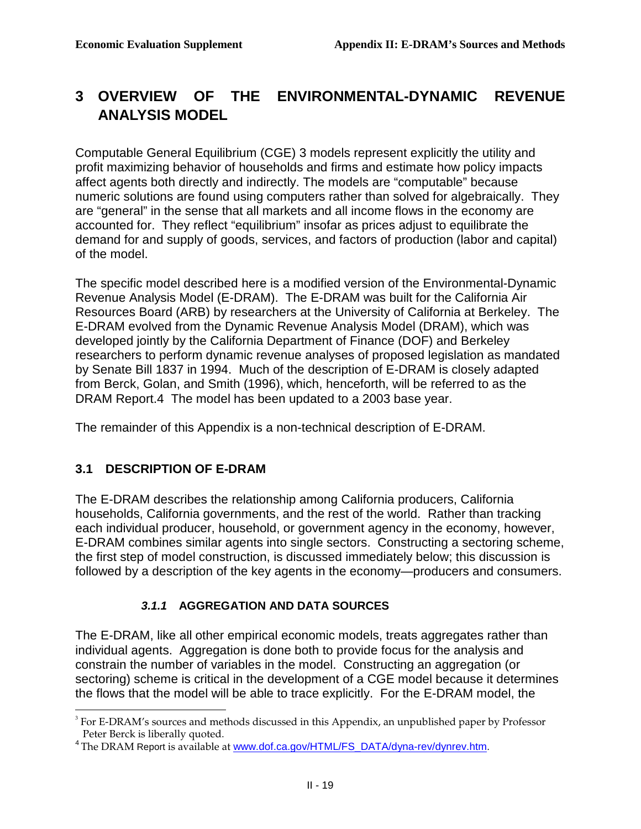#### **3 OVERVIEW OF THE ANALYSIS MODEL ENVIRONMENTAL-DYNAMIC REVENUE**

 Computable General Equilibrium (CGE) 3 models represent explicitly the utility and profit maximizing behavior of households and firms and estimate how policy impacts affect agents both directly and indirectly. The models are "computable" because numeric solutions are found using computers rather than solved for algebraically. They are "general" in the sense that all markets and all income flows in the economy are accounted for. They reflect "equilibrium" insofar as prices adjust to equilibrate the demand for and supply of goods, services, and factors of production (labor and capital) of the model.

 The specific model described here is a modified version of the Environmental-Dynamic Revenue Analysis Model (E-DRAM). The E-DRAM was built for the California Air Resources Board (ARB) by researchers at the University of California at Berkeley. The E-DRAM evolved from the Dynamic Revenue Analysis Model (DRAM), which was developed jointly by the California Department of Finance (DOF) and Berkeley researchers to perform dynamic revenue analyses of proposed legislation as mandated by Senate Bill 1837 in 1994. Much of the description of E-DRAM is closely adapted from Berck, Golan, and Smith (1996), which, henceforth, will be referred to as the DRAM Report.4 The model has been updated to a 2003 base year.

The remainder of this Appendix is a non-technical description of E-DRAM.

## **3.1 DESCRIPTION OF E-DRAM**

1

 The E-DRAM describes the relationship among California producers, California households, California governments, and the rest of the world. Rather than tracking each individual producer, household, or government agency in the economy, however, E-DRAM combines similar agents into single sectors. Constructing a sectoring scheme, the first step of model construction, is discussed immediately below; this discussion is followed by a description of the key agents in the economy—producers and consumers.

## **3.1.1 AGGREGATION AND DATA SOURCES**

 The E-DRAM, like all other empirical economic models, treats aggregates rather than individual agents. Aggregation is done both to provide focus for the analysis and constrain the number of variables in the model. Constructing an aggregation (or sectoring) scheme is critical in the development of a CGE model because it determines the flows that the model will be able to trace explicitly. For the E-DRAM model, the

 $3$  For E-DRAM's sources and methods discussed in this Appendix, an unpublished paper by Professor Peter Berck is liberally quoted.

Peter Berck is liberally quoted.<br><sup>4</sup>The DRAM Report is available at <u>[www.dof.ca.gov/HTML/FS\\_DATA/dyna-rev/dynrev.htm](www.dof.ca.gov/HTML/FS_DATA/dyna-rev/dynrev.htm)</u>.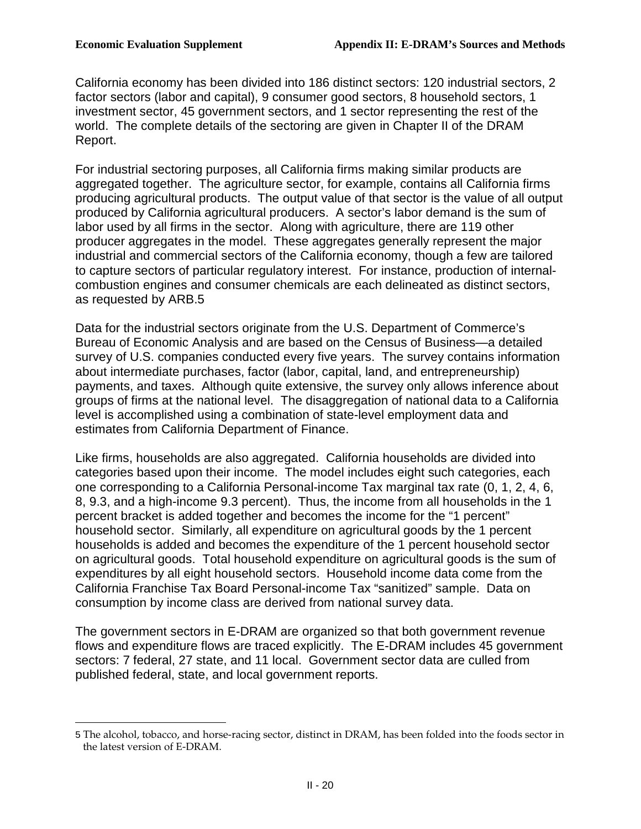<u>.</u>

 California economy has been divided into 186 distinct sectors: 120 industrial sectors, 2 factor sectors (labor and capital), 9 consumer good sectors, 8 household sectors, 1 investment sector, 45 government sectors, and 1 sector representing the rest of the world. The complete details of the sectoring are given in Chapter II of the DRAM Report.

 For industrial sectoring purposes, all California firms making similar products are aggregated together. The agriculture sector, for example, contains all California firms producing agricultural products. The output value of that sector is the value of all output produced by California agricultural producers. A sector's labor demand is the sum of labor used by all firms in the sector. Along with agriculture, there are 119 other producer aggregates in the model. These aggregates generally represent the major industrial and commercial sectors of the California economy, though a few are tailored to capture sectors of particular regulatory interest. For instance, production of internal- combustion engines and consumer chemicals are each delineated as distinct sectors, as requested by ARB.5

 Data for the industrial sectors originate from the U.S. Department of Commerce's Bureau of Economic Analysis and are based on the Census of Business—a detailed survey of U.S. companies conducted every five years. The survey contains information about intermediate purchases, factor (labor, capital, land, and entrepreneurship) payments, and taxes. Although quite extensive, the survey only allows inference about groups of firms at the national level. The disaggregation of national data to a California level is accomplished using a combination of state-level employment data and estimates from California Department of Finance.

 Like firms, households are also aggregated. California households are divided into categories based upon their income. The model includes eight such categories, each one corresponding to a California Personal-income Tax marginal tax rate (0, 1, 2, 4, 6, 8, 9.3, and a high-income 9.3 percent). Thus, the income from all households in the 1 percent bracket is added together and becomes the income for the "1 percent" household sector. Similarly, all expenditure on agricultural goods by the 1 percent households is added and becomes the expenditure of the 1 percent household sector on agricultural goods. Total household expenditure on agricultural goods is the sum of expenditures by all eight household sectors. Household income data come from the California Franchise Tax Board Personal-income Tax "sanitized" sample. Data on consumption by income class are derived from national survey data.

 The government sectors in E-DRAM are organized so that both government revenue flows and expenditure flows are traced explicitly. The E-DRAM includes 45 government sectors: 7 federal, 27 state, and 11 local. Government sector data are culled from published federal, state, and local government reports.

 5 The alcohol, tobacco, and horse-racing sector, distinct in DRAM, has been folded into the foods sector in the latest version of E-DRAM.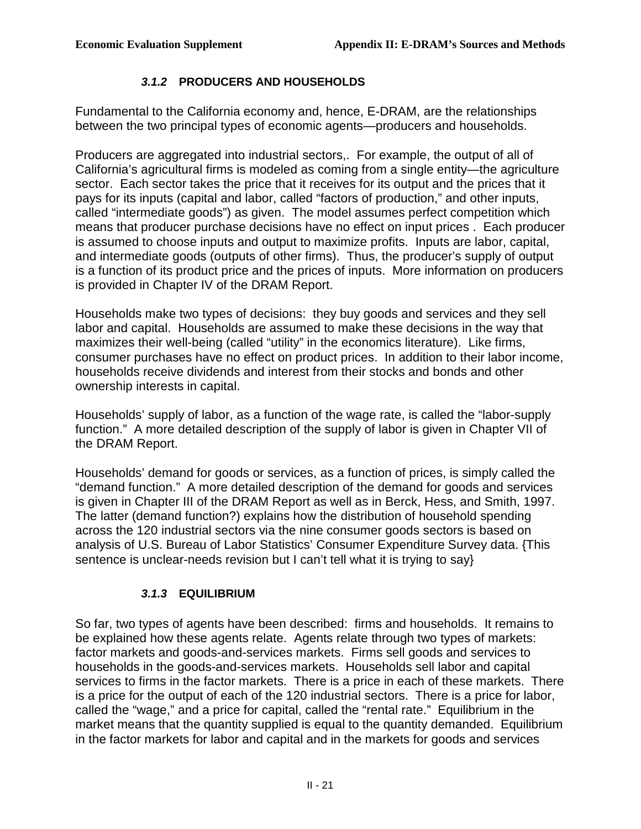### **3.1.2 PRODUCERS AND HOUSEHOLDS**

 Fundamental to the California economy and, hence, E-DRAM, are the relationships between the two principal types of economic agents—producers and households.

 Producers are aggregated into industrial sectors,. For example, the output of all of California's agricultural firms is modeled as coming from a single entity—the agriculture sector. Each sector takes the price that it receives for its output and the prices that it pays for its inputs (capital and labor, called "factors of production," and other inputs, called "intermediate goods") as given. The model assumes perfect competition which means that producer purchase decisions have no effect on input prices . Each producer is assumed to choose inputs and output to maximize profits. Inputs are labor, capital, and intermediate goods (outputs of other firms). Thus, the producer's supply of output is a function of its product price and the prices of inputs. More information on producers is provided in Chapter IV of the DRAM Report.

 Households make two types of decisions: they buy goods and services and they sell labor and capital. Households are assumed to make these decisions in the way that maximizes their well-being (called "utility" in the economics literature). Like firms, consumer purchases have no effect on product prices. In addition to their labor income, households receive dividends and interest from their stocks and bonds and other ownership interests in capital.

 Households' supply of labor, as a function of the wage rate, is called the "labor-supply function." A more detailed description of the supply of labor is given in Chapter VII of the DRAM Report.

 Households' demand for goods or services, as a function of prices, is simply called the "demand function." A more detailed description of the demand for goods and services is given in Chapter III of the DRAM Report as well as in Berck, Hess, and Smith, 1997. The latter (demand function?) explains how the distribution of household spending across the 120 industrial sectors via the nine consumer goods sectors is based on analysis of U.S. Bureau of Labor Statistics' Consumer Expenditure Survey data. {This sentence is unclear-needs revision but I can't tell what it is trying to say}

## **3.1.3 EQUILIBRIUM**

 So far, two types of agents have been described: firms and households. It remains to be explained how these agents relate. Agents relate through two types of markets: factor markets and goods-and-services markets. Firms sell goods and services to households in the goods-and-services markets. Households sell labor and capital services to firms in the factor markets. There is a price in each of these markets. There is a price for the output of each of the 120 industrial sectors. There is a price for labor, called the "wage," and a price for capital, called the "rental rate." Equilibrium in the market means that the quantity supplied is equal to the quantity demanded. Equilibrium in the factor markets for labor and capital and in the markets for goods and services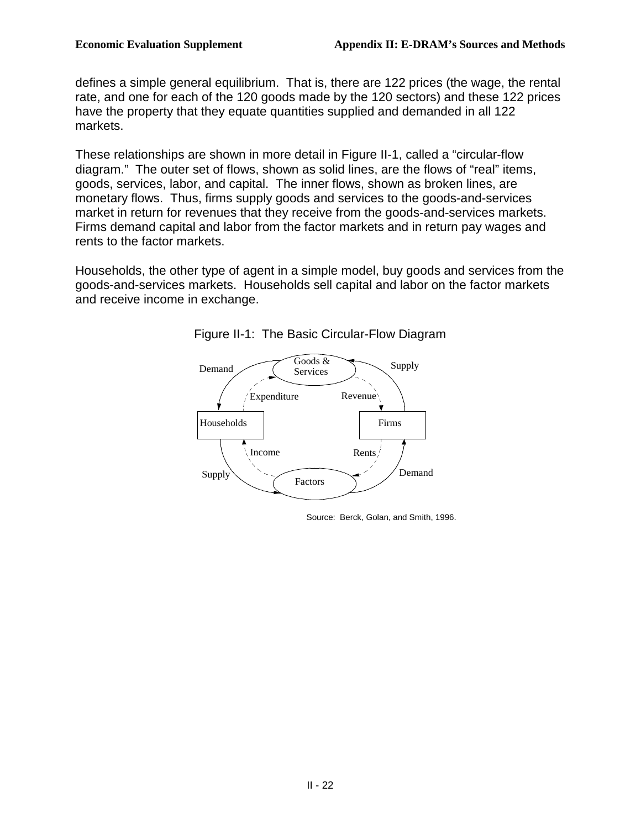defines a simple general equilibrium. That is, there are 122 prices (the wage, the rental rate, and one for each of the 120 goods made by the 120 sectors) and these 122 prices have the property that they equate quantities supplied and demanded in all 122 markets.

markets.<br>These relationships are shown in more detail in Figure II-1, called a "circular-flow diagram." The outer set of flows, shown as solid lines, are the flows of "real" items, goods, services, labor, and capital. The inner flows, shown as broken lines, are monetary flows. Thus, firms supply goods and services to the goods-and-services market in return for revenues that they receive from the goods-and-services markets. Firms demand capital and labor from the factor markets and in return pay wages and rents to the factor markets.

 Households, the other type of agent in a simple model, buy goods and services from the goods-and-services markets. Households sell capital and labor on the factor markets and receive income in exchange.



Figure II-1: The Basic Circular-Flow Diagram

Source: Berck, Golan, and Smith, 1996.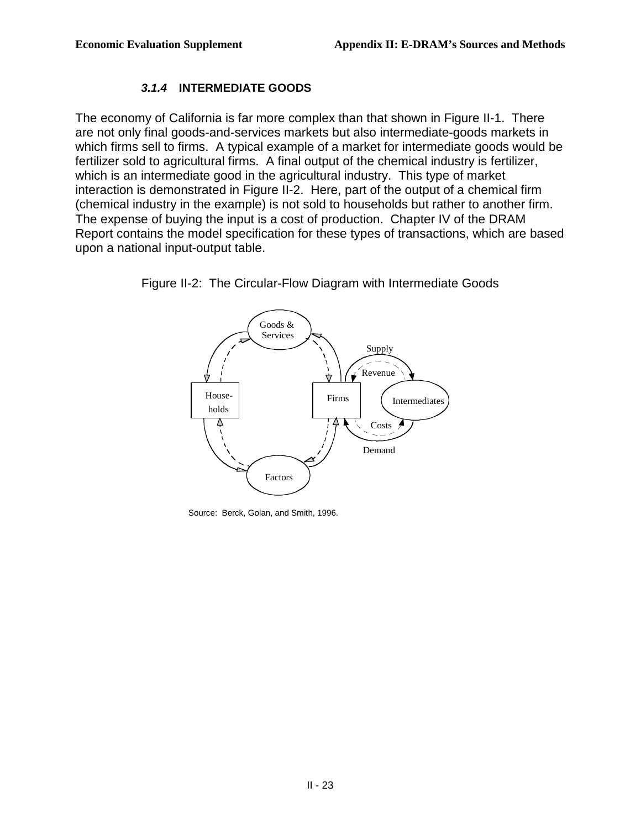### **3.1.4 INTERMEDIATE GOODS**

 The economy of California is far more complex than that shown in Figure II-1. There are not only final goods-and-services markets but also intermediate-goods markets in which firms sell to firms. A typical example of a market for intermediate goods would be fertilizer sold to agricultural firms. A final output of the chemical industry is fertilizer, which is an intermediate good in the agricultural industry. This type of market interaction is demonstrated in Figure II-2. Here, part of the output of a chemical firm (chemical industry in the example) is not sold to households but rather to another firm. The expense of buying the input is a cost of production. Chapter IV of the DRAM Report contains the model specification for these types of transactions, which are based upon a national input-output table.



Figure II-2: The Circular-Flow Diagram with Intermediate Goods

Source: Berck, Golan, and Smith, 1996.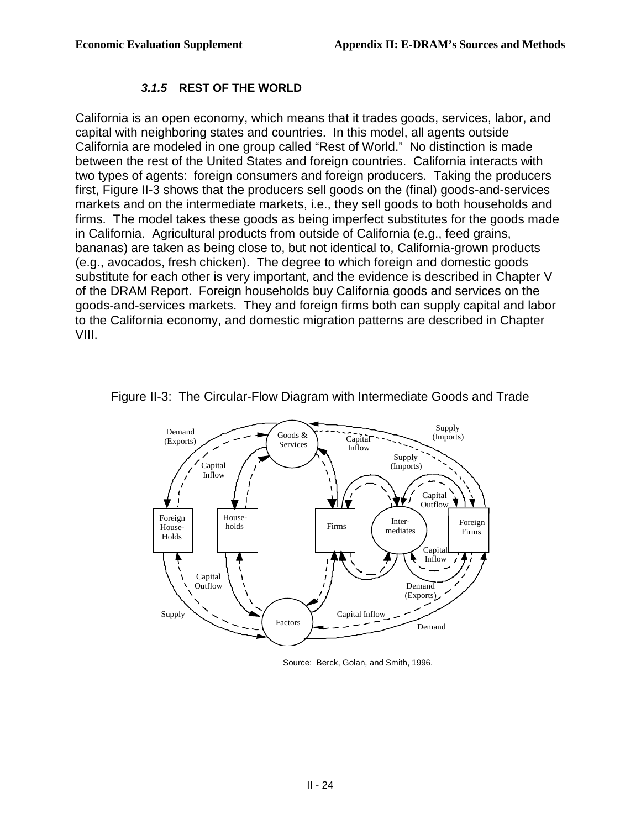#### **3.1.5 REST OF THE WORLD**

 California is an open economy, which means that it trades goods, services, labor, and capital with neighboring states and countries. In this model, all agents outside California are modeled in one group called "Rest of World." No distinction is made between the rest of the United States and foreign countries. California interacts with two types of agents: foreign consumers and foreign producers. Taking the producers first, Figure II-3 shows that the producers sell goods on the (final) goods-and-services markets and on the intermediate markets, i.e., they sell goods to both households and firms. The model takes these goods as being imperfect substitutes for the goods made in California. Agricultural products from outside of California (e.g., feed grains, bananas) are taken as being close to, but not identical to, California-grown products (e.g., avocados, fresh chicken). The degree to which foreign and domestic goods substitute for each other is very important, and the evidence is described in Chapter V of the DRAM Report. Foreign households buy California goods and services on the goods-and-services markets. They and foreign firms both can supply capital and labor to the California economy, and domestic migration patterns are described in Chapter VIII.



Figure II-3: The Circular-Flow Diagram with Intermediate Goods and Trade

Source: Berck, Golan, and Smith, 1996.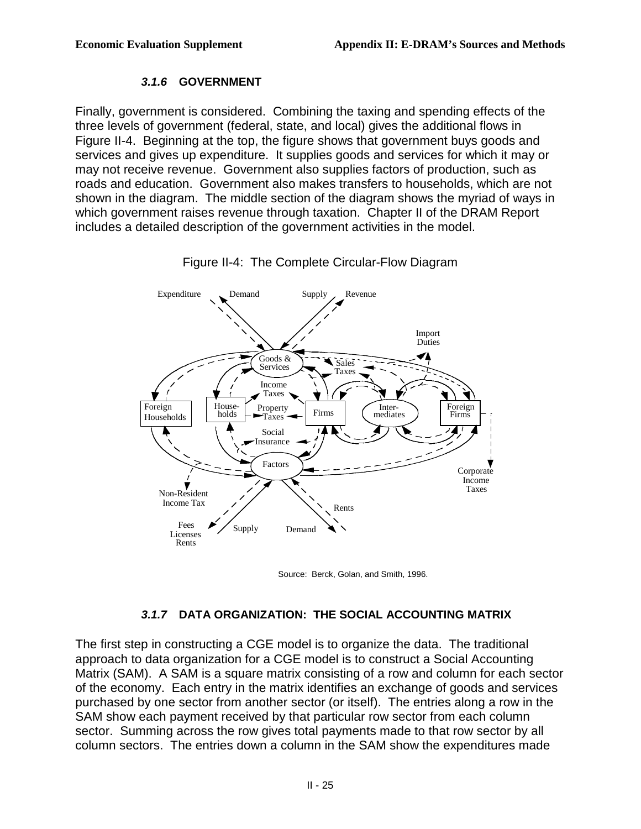#### **3.1.6 GOVERNMENT**

 Finally, government is considered. Combining the taxing and spending effects of the three levels of government (federal, state, and local) gives the additional flows in Figure II-4. Beginning at the top, the figure shows that government buys goods and services and gives up expenditure. It supplies goods and services for which it may or may not receive revenue. Government also supplies factors of production, such as roads and education. Government also makes transfers to households, which are not shown in the diagram. The middle section of the diagram shows the myriad of ways in which government raises revenue through taxation. Chapter II of the DRAM Report includes a detailed description of the government activities in the model.



Figure II-4: The Complete Circular-Flow Diagram

Source: Berck, Golan, and Smith, 1996.

#### **3.1.7 DATA ORGANIZATION: THE SOCIAL ACCOUNTING MATRIX**

 The first step in constructing a CGE model is to organize the data. The traditional approach to data organization for a CGE model is to construct a Social Accounting Matrix (SAM). A SAM is a square matrix consisting of a row and column for each sector of the economy. Each entry in the matrix identifies an exchange of goods and services purchased by one sector from another sector (or itself). The entries along a row in the SAM show each payment received by that particular row sector from each column sector. Summing across the row gives total payments made to that row sector by all column sectors. The entries down a column in the SAM show the expenditures made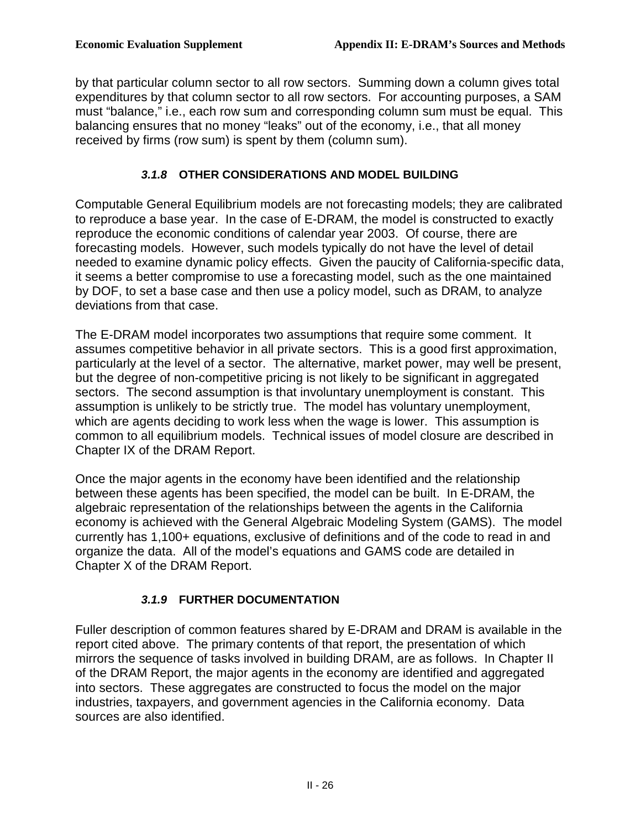by that particular column sector to all row sectors. Summing down a column gives total expenditures by that column sector to all row sectors. For accounting purposes, a SAM must "balance," i.e., each row sum and corresponding column sum must be equal. This balancing ensures that no money "leaks" out of the economy, i.e., that all money received by firms (row sum) is spent by them (column sum).

### **3.1.8 OTHER CONSIDERATIONS AND MODEL BUILDING**

 Computable General Equilibrium models are not forecasting models; they are calibrated to reproduce a base year. In the case of E-DRAM, the model is constructed to exactly reproduce the economic conditions of calendar year 2003. Of course, there are forecasting models. However, such models typically do not have the level of detail needed to examine dynamic policy effects. Given the paucity of California-specific data, it seems a better compromise to use a forecasting model, such as the one maintained by DOF, to set a base case and then use a policy model, such as DRAM, to analyze deviations from that case.

 The E-DRAM model incorporates two assumptions that require some comment. It assumes competitive behavior in all private sectors. This is a good first approximation, particularly at the level of a sector. The alternative, market power, may well be present, but the degree of non-competitive pricing is not likely to be significant in aggregated sectors. The second assumption is that involuntary unemployment is constant. This assumption is unlikely to be strictly true. The model has voluntary unemployment, which are agents deciding to work less when the wage is lower. This assumption is common to all equilibrium models. Technical issues of model closure are described in Chapter IX of the DRAM Report.

 Once the major agents in the economy have been identified and the relationship between these agents has been specified, the model can be built. In E-DRAM, the algebraic representation of the relationships between the agents in the California economy is achieved with the General Algebraic Modeling System (GAMS). The model currently has 1,100+ equations, exclusive of definitions and of the code to read in and Chapter X of the DRAM Report. organize the data. All of the model's equations and GAMS code are detailed in

## **3.1.9 FURTHER DOCUMENTATION**

 Fuller description of common features shared by E-DRAM and DRAM is available in the report cited above. The primary contents of that report, the presentation of which mirrors the sequence of tasks involved in building DRAM, are as follows. In Chapter II of the DRAM Report, the major agents in the economy are identified and aggregated into sectors. These aggregates are constructed to focus the model on the major industries, taxpayers, and government agencies in the California economy. Data sources are also identified.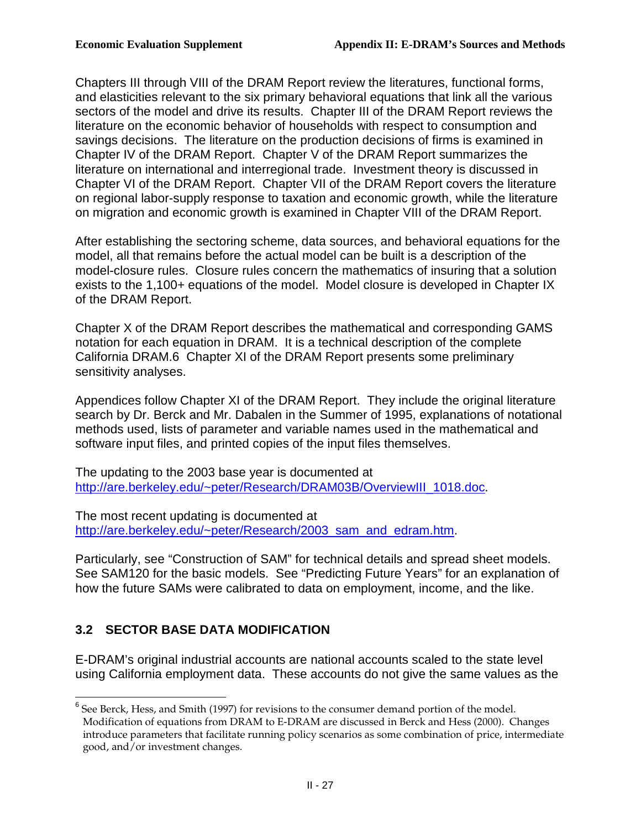Chapters III through VIII of the DRAM Report review the literatures, functional forms, and elasticities relevant to the six primary behavioral equations that link all the various sectors of the model and drive its results. Chapter III of the DRAM Report reviews the literature on the economic behavior of households with respect to consumption and savings decisions. The literature on the production decisions of firms is examined in Chapter IV of the DRAM Report. Chapter V of the DRAM Report summarizes the literature on international and interregional trade. Investment theory is discussed in Chapter VI of the DRAM Report. Chapter VII of the DRAM Report covers the literature on regional labor-supply response to taxation and economic growth, while the literature on migration and economic growth is examined in Chapter VIII of the DRAM Report.

 After establishing the sectoring scheme, data sources, and behavioral equations for the model, all that remains before the actual model can be built is a description of the model-closure rules. Closure rules concern the mathematics of insuring that a solution exists to the 1,100+ equations of the model. Model closure is developed in Chapter IX of the DRAM Report.

 Chapter X of the DRAM Report describes the mathematical and corresponding GAMS notation for each equation in DRAM. It is a technical description of the complete California DRAM.6 Chapter XI of the DRAM Report presents some preliminary sensitivity analyses.

 Appendices follow Chapter XI of the DRAM Report. They include the original literature search by Dr. Berck and Mr. Dabalen in the Summer of 1995, explanations of notational methods used, lists of parameter and variable names used in the mathematical and software input files, and printed copies of the input files themselves.

The updating to the 2003 base year is documented at

<u>[http://are.berkeley.edu/~peter/Research/DRAM03B/OverviewIII\\_1018.doc](http://are.berkeley.edu/~peter/Research/DRAM03B/OverviewIII_1018.doc)</u>.<br>The most recent updating is documented at The most recent updating is documented at [http://are.berkeley.edu/~peter/Research/2003\\_sam\\_and\\_edram.htm.](http://are.berkeley.edu/~peter/Research/2003_sam_and_edram.htm)

 Particularly, see "Construction of SAM" for technical details and spread sheet models. See SAM120 for the basic models. See "Predicting Future Years" for an explanation of how the future SAMs were calibrated to data on employment, income, and the like.

## **3.2 SECTOR BASE DATA MODIFICATION**

 E-DRAM's original industrial accounts are national accounts scaled to the state level using California employment data. These accounts do not give the same values as the

<sup>1</sup>  $6$  See Berck, Hess, and Smith (1997) for revisions to the consumer demand portion of the model. Modification of equations from DRAM to E-DRAM are discussed in Berck and Hess (2000). Changes introduce parameters that facilitate running policy scenarios as some combination of price, intermediate good, and/or investment changes.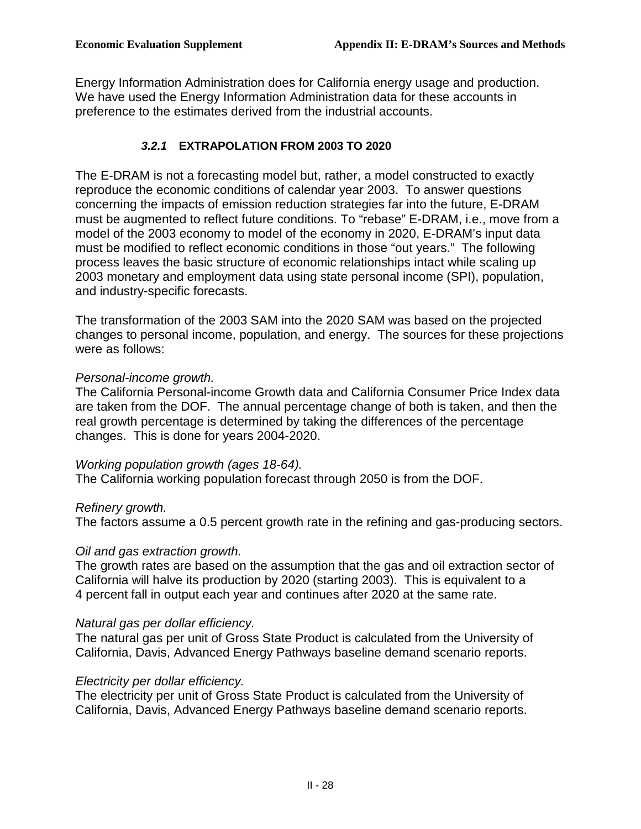Energy Information Administration does for California energy usage and production. We have used the Energy Information Administration data for these accounts in preference to the estimates derived from the industrial accounts.

#### **3.2.1 EXTRAPOLATION FROM 2003 TO 2020**

 The E-DRAM is not a forecasting model but, rather, a model constructed to exactly reproduce the economic conditions of calendar year 2003. To answer questions concerning the impacts of emission reduction strategies far into the future, E-DRAM must be augmented to reflect future conditions. To "rebase" E-DRAM, i.e., move from a model of the 2003 economy to model of the economy in 2020, E-DRAM's input data must be modified to reflect economic conditions in those "out years." The following process leaves the basic structure of economic relationships intact while scaling up 2003 monetary and employment data using state personal income (SPI), population, and industry-specific forecasts.

 The transformation of the 2003 SAM into the 2020 SAM was based on the projected changes to personal income, population, and energy. The sources for these projections were as follows:

#### Personal-income growth.

 The California Personal-income Growth data and California Consumer Price Index data are taken from the DOF. The annual percentage change of both is taken, and then the real growth percentage is determined by taking the differences of the percentage changes. This is done for years 2004-2020.

#### Working population growth (ages 18-64).

The California working population forecast through 2050 is from the DOF.

#### Refinery growth.

The factors assume a 0.5 percent growth rate in the refining and gas-producing sectors.

#### Oil and gas extraction growth.

 The growth rates are based on the assumption that the gas and oil extraction sector of California will halve its production by 2020 (starting 2003). This is equivalent to a 4 percent fall in output each year and continues after 2020 at the same rate.

#### Natural gas per dollar efficiency.

 The natural gas per unit of Gross State Product is calculated from the University of California, Davis, Advanced Energy Pathways baseline demand scenario reports.

#### Electricity per dollar efficiency.

 The electricity per unit of Gross State Product is calculated from the University of California, Davis, Advanced Energy Pathways baseline demand scenario reports.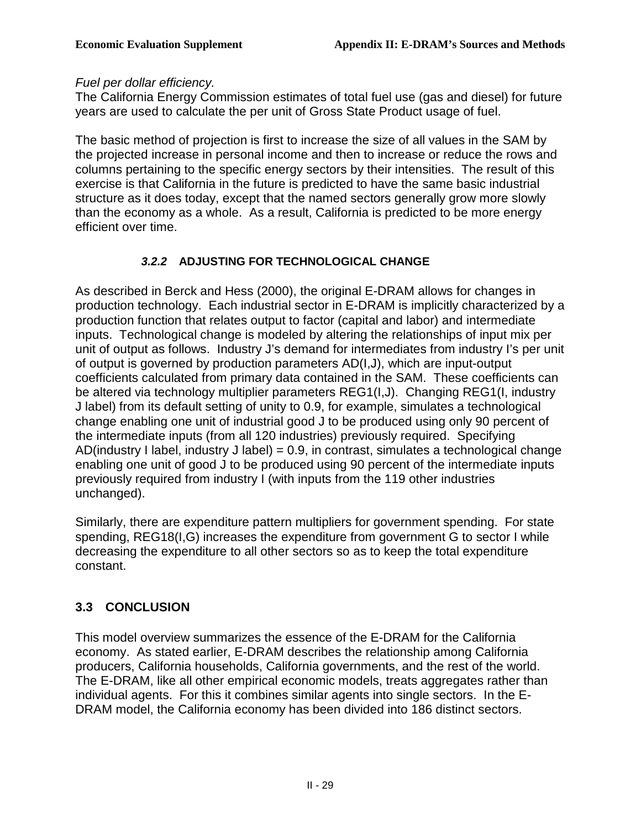#### Fuel per dollar efficiency.

 The California Energy Commission estimates of total fuel use (gas and diesel) for future years are used to calculate the per unit of Gross State Product usage of fuel.

 The basic method of projection is first to increase the size of all values in the SAM by the projected increase in personal income and then to increase or reduce the rows and columns pertaining to the specific energy sectors by their intensities. The result of this exercise is that California in the future is predicted to have the same basic industrial structure as it does today, except that the named sectors generally grow more slowly than the economy as a whole. As a result, California is predicted to be more energy efficient over time.

## **3.2.2 ADJUSTING FOR TECHNOLOGICAL CHANGE**

 As described in Berck and Hess (2000), the original E-DRAM allows for changes in production technology. Each industrial sector in E-DRAM is implicitly characterized by a production function that relates output to factor (capital and labor) and intermediate inputs. Technological change is modeled by altering the relationships of input mix per unit of output as follows. Industry J's demand for intermediates from industry I's per unit of output is governed by production parameters AD(I,J), which are input-output coefficients calculated from primary data contained in the SAM. These coefficients can be altered via technology multiplier parameters REG1(I,J). Changing REG1(I, industry J label) from its default setting of unity to 0.9, for example, simulates a technological change enabling one unit of industrial good J to be produced using only 90 percent of the intermediate inputs (from all 120 industries) previously required. Specifying AD(industry I label, industry J label) = 0.9, in contrast, simulates a technological change enabling one unit of good J to be produced using 90 percent of the intermediate inputs previously required from industry I (with inputs from the 119 other industries unchanged).

 Similarly, there are expenditure pattern multipliers for government spending. For state spending, REG18(I,G) increases the expenditure from government G to sector I while decreasing the expenditure to all other sectors so as to keep the total expenditure constant.

## **3.3 CONCLUSION**

 This model overview summarizes the essence of the E-DRAM for the California economy. As stated earlier, E-DRAM describes the relationship among California producers, California households, California governments, and the rest of the world. The E-DRAM, like all other empirical economic models, treats aggregates rather than individual agents. For this it combines similar agents into single sectors. In the E-DRAM model, the California economy has been divided into 186 distinct sectors.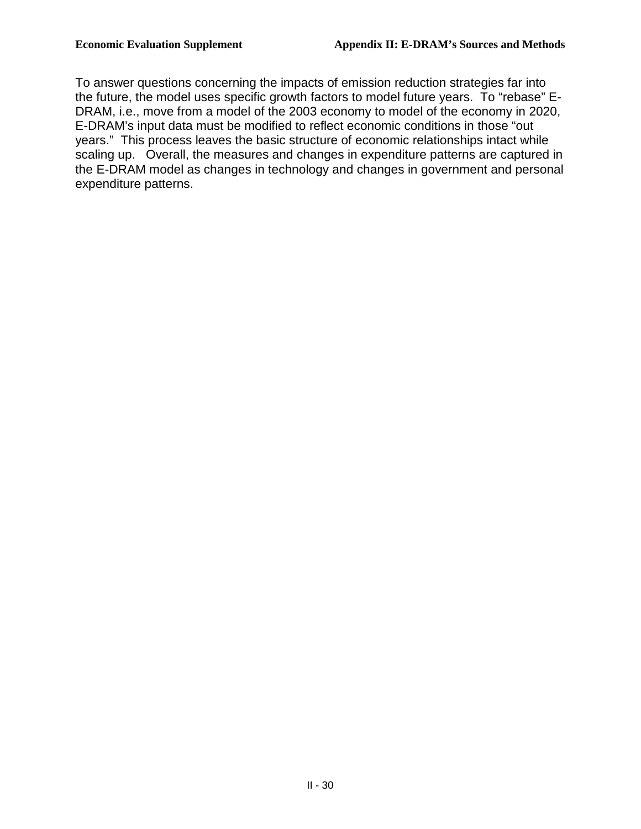To answer questions concerning the impacts of emission reduction strategies far into the future, the model uses specific growth factors to model future years. To "rebase" E- DRAM, i.e., move from a model of the 2003 economy to model of the economy in 2020, E-DRAM's input data must be modified to reflect economic conditions in those "out years." This process leaves the basic structure of economic relationships intact while scaling up. Overall, the measures and changes in expenditure patterns are captured in the E-DRAM model as changes in technology and changes in government and personal expenditure patterns.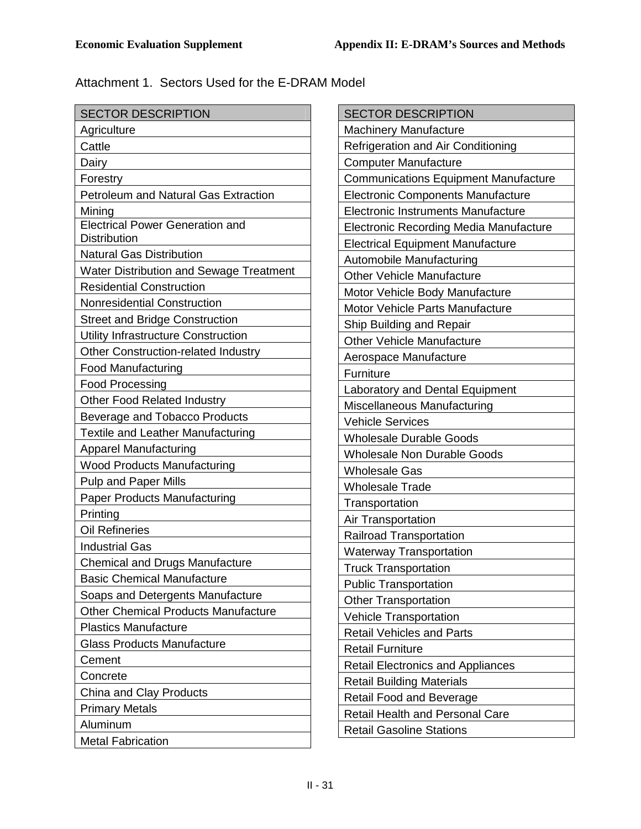Attachment 1. Sectors Used for the E-DRAM Model

| <b>SECTOR DESCRIPTION</b>                   |
|---------------------------------------------|
| Agriculture                                 |
| Cattle                                      |
| Dairy                                       |
| Forestry                                    |
| <b>Petroleum and Natural Gas Extraction</b> |
| Mining                                      |
| <b>Electrical Power Generation and</b>      |
| <b>Distribution</b>                         |
| <b>Natural Gas Distribution</b>             |
| Water Distribution and Sewage Treatment     |
| <b>Residential Construction</b>             |
| <b>Nonresidential Construction</b>          |
| <b>Street and Bridge Construction</b>       |
| Utility Infrastructure Construction         |
| Other Construction-related Industry         |
| <b>Food Manufacturing</b>                   |
| <b>Food Processing</b>                      |
| <b>Other Food Related Industry</b>          |
| Beverage and Tobacco Products               |
| Textile and Leather Manufacturing           |
| <b>Apparel Manufacturing</b>                |
| <b>Wood Products Manufacturing</b>          |
| <b>Pulp and Paper Mills</b>                 |
| <b>Paper Products Manufacturing</b>         |
| Printing                                    |
| <b>Oil Refineries</b>                       |
| <b>Industrial Gas</b>                       |
| Chemical and Drugs Manufacture              |
| <b>Basic Chemical Manufacture</b>           |
| Soaps and Detergents Manufacture            |
| <b>Other Chemical Products Manufacture</b>  |
| <b>Plastics Manufacture</b>                 |
| <b>Glass Products Manufacture</b>           |
| Cement                                      |
| Concrete                                    |
| China and Clay Products                     |
| <b>Primary Metals</b>                       |
| Aluminum                                    |
| <b>Metal Fabrication</b>                    |

| <b>SECTOR DESCRIPTION</b>                     |
|-----------------------------------------------|
| <b>Machinery Manufacture</b>                  |
| Refrigeration and Air Conditioning            |
| <b>Computer Manufacture</b>                   |
| <b>Communications Equipment Manufacture</b>   |
| <b>Electronic Components Manufacture</b>      |
| <b>Electronic Instruments Manufacture</b>     |
| <b>Electronic Recording Media Manufacture</b> |
| <b>Electrical Equipment Manufacture</b>       |
| Automobile Manufacturing                      |
| <b>Other Vehicle Manufacture</b>              |
| Motor Vehicle Body Manufacture                |
| Motor Vehicle Parts Manufacture               |
| Ship Building and Repair                      |
| <b>Other Vehicle Manufacture</b>              |
| Aerospace Manufacture                         |
| Furniture                                     |
| Laboratory and Dental Equipment               |
| Miscellaneous Manufacturing                   |
| <b>Vehicle Services</b>                       |
| <b>Wholesale Durable Goods</b>                |
| <b>Wholesale Non Durable Goods</b>            |
| <b>Wholesale Gas</b>                          |
| <b>Wholesale Trade</b>                        |
| Transportation                                |
| Air Transportation                            |
| <b>Railroad Transportation</b>                |
| <b>Waterway Transportation</b>                |
| <b>Truck Transportation</b>                   |
| <b>Public Transportation</b>                  |
| <b>Other Transportation</b>                   |
| <b>Vehicle Transportation</b>                 |
| <b>Retail Vehicles and Parts</b>              |
| <b>Retail Furniture</b>                       |
| Retail Electronics and Appliances             |
| <b>Retail Building Materials</b>              |
| Retail Food and Beverage                      |
| <b>Retail Health and Personal Care</b>        |
| <b>Retail Gasoline Stations</b>               |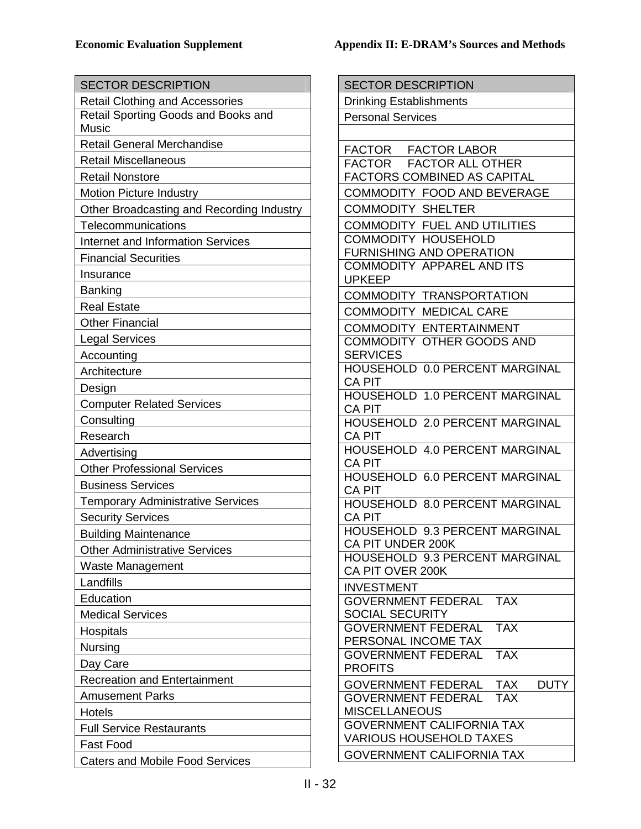| <b>SECTOR DESCRIPTION</b>                 | <b>SECTOR DESCRIPTION</b>                                          |
|-------------------------------------------|--------------------------------------------------------------------|
| <b>Retail Clothing and Accessories</b>    | <b>Drinking Establishments</b>                                     |
| Retail Sporting Goods and Books and       | <b>Personal Services</b>                                           |
| <b>Music</b>                              |                                                                    |
| <b>Retail General Merchandise</b>         | FACTOR FACTOR LABOR                                                |
| <b>Retail Miscellaneous</b>               | <b>FACTOR</b><br><b>FACTOR ALL OTHER</b>                           |
| <b>Retail Nonstore</b>                    | <b>FACTORS COMBINED AS CAPITAL</b>                                 |
| <b>Motion Picture Industry</b>            | COMMODITY FOOD AND BEVERAGE                                        |
| Other Broadcasting and Recording Industry | <b>COMMODITY SHELTER</b>                                           |
| Telecommunications                        | <b>COMMODITY FUEL AND UTILITIES</b>                                |
| <b>Internet and Information Services</b>  | <b>COMMODITY HOUSEHOLD</b>                                         |
| <b>Financial Securities</b>               | FURNISHING AND OPERATION<br><b>COMMODITY APPAREL AND ITS</b>       |
| Insurance                                 | <b>UPKEEP</b>                                                      |
| <b>Banking</b>                            | <b>COMMODITY TRANSPORTATION</b>                                    |
| <b>Real Estate</b>                        | COMMODITY MEDICAL CARE                                             |
| <b>Other Financial</b>                    | <b>COMMODITY ENTERTAINMENT</b>                                     |
| <b>Legal Services</b>                     | <b>COMMODITY OTHER GOODS AND</b>                                   |
| Accounting                                | <b>SERVICES</b>                                                    |
| Architecture                              | HOUSEHOLD 0.0 PERCENT MARGINAL                                     |
| Design                                    | <b>CA PIT</b>                                                      |
| <b>Computer Related Services</b>          | HOUSEHOLD 1.0 PERCENT MARGINAL                                     |
| Consulting                                | <b>CA PIT</b><br>HOUSEHOLD 2.0 PERCENT MARGINAL                    |
| Research                                  | <b>CA PIT</b>                                                      |
| Advertising                               | HOUSEHOLD 4.0 PERCENT MARGINAL                                     |
| <b>Other Professional Services</b>        | <b>CA PIT</b>                                                      |
| <b>Business Services</b>                  | <b>HOUSEHOLD 6.0 PERCENT MARGINAL</b>                              |
| <b>Temporary Administrative Services</b>  | <b>CA PIT</b><br>HOUSEHOLD 8.0 PERCENT MARGINAL                    |
| <b>Security Services</b>                  | <b>CA PIT</b>                                                      |
| <b>Building Maintenance</b>               | HOUSEHOLD 9.3 PERCENT MARGINAL                                     |
| <b>Other Administrative Services</b>      | CA PIT UNDER 200K                                                  |
| Waste Management                          | <b>HOUSEHOLD 9.3 PERCENT MARGINAL</b>                              |
| Landfills                                 | CA PIT OVER 200K                                                   |
| Education                                 | <b>INVESTMENT</b>                                                  |
| <b>Medical Services</b>                   | <b>GOVERNMENT FEDERAL</b><br><b>TAX</b><br><b>SOCIAL SECURITY</b>  |
|                                           | <b>TAX</b><br><b>GOVERNMENT FEDERAL</b>                            |
| <b>Hospitals</b>                          | PERSONAL INCOME TAX                                                |
| <b>Nursing</b>                            | <b>TAX</b><br><b>GOVERNMENT FEDERAL</b>                            |
| Day Care                                  | <b>PROFITS</b>                                                     |
| <b>Recreation and Entertainment</b>       | <b>DUTY</b><br><b>GOVERNMENT FEDERAL</b><br><b>TAX</b>             |
| <b>Amusement Parks</b>                    | <b>GOVERNMENT FEDERAL</b><br>TAX                                   |
| <b>Hotels</b>                             | <b>MISCELLANEOUS</b>                                               |
| <b>Full Service Restaurants</b>           | <b>GOVERNMENT CALIFORNIA TAX</b><br><b>VARIOUS HOUSEHOLD TAXES</b> |
| Fast Food                                 |                                                                    |
| <b>Caters and Mobile Food Services</b>    | <b>GOVERNMENT CALIFORNIA TAX</b>                                   |